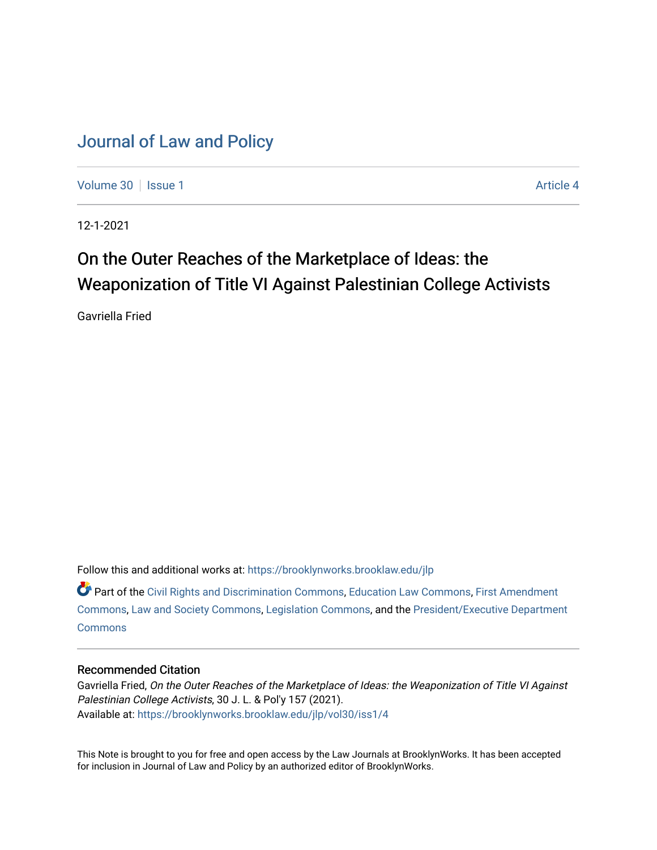## [Journal of Law and Policy](https://brooklynworks.brooklaw.edu/jlp)

[Volume 30](https://brooklynworks.brooklaw.edu/jlp/vol30) | [Issue 1](https://brooklynworks.brooklaw.edu/jlp/vol30/iss1) Article 4

12-1-2021

# On the Outer Reaches of the Marketplace of Ideas: the Weaponization of Title VI Against Palestinian College Activists

Gavriella Fried

Follow this and additional works at: [https://brooklynworks.brooklaw.edu/jlp](https://brooklynworks.brooklaw.edu/jlp?utm_source=brooklynworks.brooklaw.edu%2Fjlp%2Fvol30%2Fiss1%2F4&utm_medium=PDF&utm_campaign=PDFCoverPages) 

Part of the [Civil Rights and Discrimination Commons,](http://network.bepress.com/hgg/discipline/585?utm_source=brooklynworks.brooklaw.edu%2Fjlp%2Fvol30%2Fiss1%2F4&utm_medium=PDF&utm_campaign=PDFCoverPages) [Education Law Commons](http://network.bepress.com/hgg/discipline/596?utm_source=brooklynworks.brooklaw.edu%2Fjlp%2Fvol30%2Fiss1%2F4&utm_medium=PDF&utm_campaign=PDFCoverPages), [First Amendment](http://network.bepress.com/hgg/discipline/1115?utm_source=brooklynworks.brooklaw.edu%2Fjlp%2Fvol30%2Fiss1%2F4&utm_medium=PDF&utm_campaign=PDFCoverPages) [Commons](http://network.bepress.com/hgg/discipline/1115?utm_source=brooklynworks.brooklaw.edu%2Fjlp%2Fvol30%2Fiss1%2F4&utm_medium=PDF&utm_campaign=PDFCoverPages), [Law and Society Commons,](http://network.bepress.com/hgg/discipline/853?utm_source=brooklynworks.brooklaw.edu%2Fjlp%2Fvol30%2Fiss1%2F4&utm_medium=PDF&utm_campaign=PDFCoverPages) [Legislation Commons](http://network.bepress.com/hgg/discipline/859?utm_source=brooklynworks.brooklaw.edu%2Fjlp%2Fvol30%2Fiss1%2F4&utm_medium=PDF&utm_campaign=PDFCoverPages), and the [President/Executive Department](http://network.bepress.com/hgg/discipline/1118?utm_source=brooklynworks.brooklaw.edu%2Fjlp%2Fvol30%2Fiss1%2F4&utm_medium=PDF&utm_campaign=PDFCoverPages) **[Commons](http://network.bepress.com/hgg/discipline/1118?utm_source=brooklynworks.brooklaw.edu%2Fjlp%2Fvol30%2Fiss1%2F4&utm_medium=PDF&utm_campaign=PDFCoverPages)** 

## Recommended Citation

Gavriella Fried, On the Outer Reaches of the Marketplace of Ideas: the Weaponization of Title VI Against Palestinian College Activists, 30 J. L. & Pol'y 157 (2021). Available at: [https://brooklynworks.brooklaw.edu/jlp/vol30/iss1/4](https://brooklynworks.brooklaw.edu/jlp/vol30/iss1/4?utm_source=brooklynworks.brooklaw.edu%2Fjlp%2Fvol30%2Fiss1%2F4&utm_medium=PDF&utm_campaign=PDFCoverPages)

This Note is brought to you for free and open access by the Law Journals at BrooklynWorks. It has been accepted for inclusion in Journal of Law and Policy by an authorized editor of BrooklynWorks.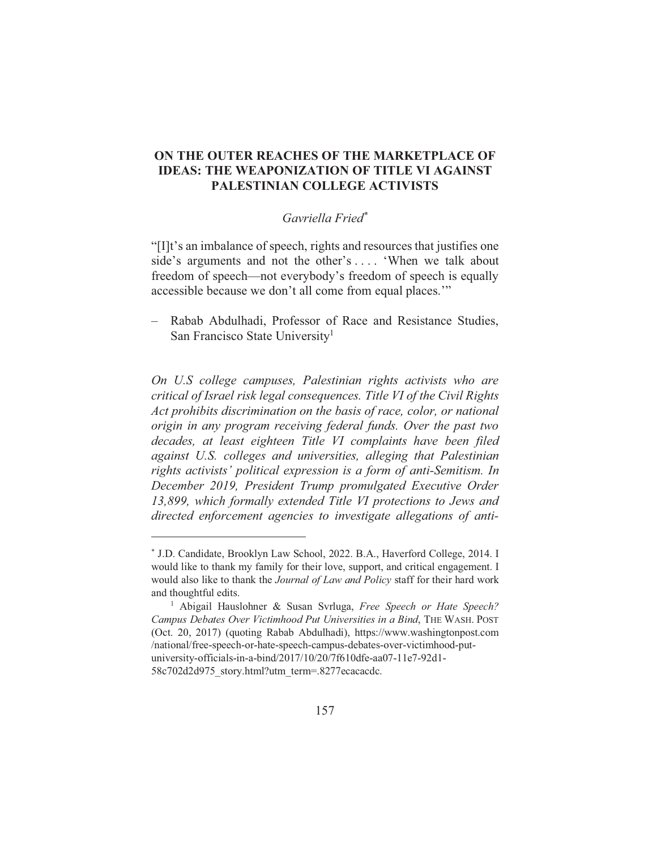## ON THE OUTER REACHES OF THE MARKETPLACE OF **IDEAS: THE WEAPONIZATION OF TITLE VI AGAINST** PALESTINIAN COLLEGE ACTIVISTS

## Gavriella Fried\*

"[I]t's an imbalance of speech, rights and resources that justifies one side's arguments and not the other's .... 'When we talk about freedom of speech—not everybody's freedom of speech is equally accessible because we don't all come from equal places."

- Rabab Abdulhadi, Professor of Race and Resistance Studies, San Francisco State University<sup>1</sup>

On U.S college campuses, Palestinian rights activists who are critical of Israel risk legal consequences. Title VI of the Civil Rights Act prohibits discrimination on the basis of race, color, or national origin in any program receiving federal funds. Over the past two decades, at least eighteen Title VI complaints have been filed against U.S. colleges and universities, alleging that Palestinian rights activists' political expression is a form of anti-Semitism. In December 2019, President Trump promulgated Executive Order 13,899, which formally extended Title VI protections to Jews and directed enforcement agencies to investigate allegations of anti-

<sup>\*</sup> J.D. Candidate, Brooklyn Law School, 2022. B.A., Haverford College, 2014. I would like to thank my family for their love, support, and critical engagement. I would also like to thank the Journal of Law and Policy staff for their hard work and thoughtful edits.

<sup>&</sup>lt;sup>1</sup> Abigail Hauslohner & Susan Svrluga, Free Speech or Hate Speech? Campus Debates Over Victimhood Put Universities in a Bind, THE WASH. POST (Oct. 20, 2017) (quoting Rabab Abdulhadi), https://www.washingtonpost.com /national/free-speech-or-hate-speech-campus-debates-over-victimhood-putuniversity-officials-in-a-bind/2017/10/20/7f610dfe-aa07-11e7-92d1-58c702d2d975 story.html?utm term=.8277ecacacdc.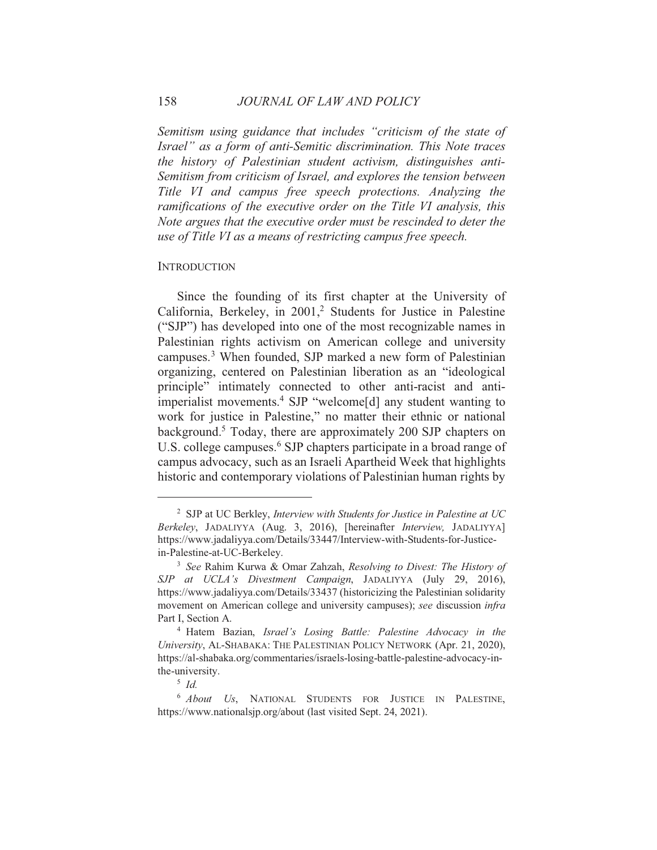Semitism using guidance that includes "criticism of the state of Israel" as a form of anti-Semitic discrimination. This Note traces the history of Palestinian student activism, distinguishes anti-Semitism from criticism of Israel, and explores the tension between Title VI and campus free speech protections. Analyzing the ramifications of the executive order on the Title VI analysis, this Note argues that the executive order must be rescinded to deter the use of Title VI as a means of restricting campus free speech.

#### **INTRODUCTION**

Since the founding of its first chapter at the University of California, Berkeley, in 2001,<sup>2</sup> Students for Justice in Palestine ("SJP") has developed into one of the most recognizable names in Palestinian rights activism on American college and university campuses.<sup>3</sup> When founded, SJP marked a new form of Palestinian organizing, centered on Palestinian liberation as an "ideological principle" intimately connected to other anti-racist and antiimperialist movements.<sup>4</sup> SJP "welcome[d] any student wanting to work for justice in Palestine," no matter their ethnic or national background.<sup>5</sup> Today, there are approximately 200 SJP chapters on U.S. college campuses.<sup>6</sup> SJP chapters participate in a broad range of campus advocacy, such as an Israeli Apartheid Week that highlights historic and contemporary violations of Palestinian human rights by

<sup>&</sup>lt;sup>2</sup> SJP at UC Berkley, Interview with Students for Justice in Palestine at UC Berkeley, JADALIYYA (Aug. 3, 2016), [hereinafter *Interview*, JADALIYYA] https://www.jadaliyya.com/Details/33447/Interview-with-Students-for-Justicein-Palestine-at-UC-Berkeley.

<sup>&</sup>lt;sup>3</sup> See Rahim Kurwa & Omar Zahzah, Resolving to Divest: The History of SJP at UCLA's Divestment Campaign, JADALIYYA (July 29, 2016), https://www.jadaliyya.com/Details/33437 (historicizing the Palestinian solidarity movement on American college and university campuses); see discussion infra Part I. Section A.

<sup>&</sup>lt;sup>4</sup> Hatem Bazian, Israel's Losing Battle: Palestine Advocacy in the University, AL-SHABAKA: THE PALESTINIAN POLICY NETWORK (Apr. 21, 2020), https://al-shabaka.org/commentaries/israels-losing-battle-palestine-advocacy-inthe-university.

 $5 \; Id$ 

<sup>&</sup>lt;sup>6</sup> About Us, NATIONAL STUDENTS FOR JUSTICE IN PALESTINE, https://www.nationalsip.org/about (last visited Sept. 24, 2021).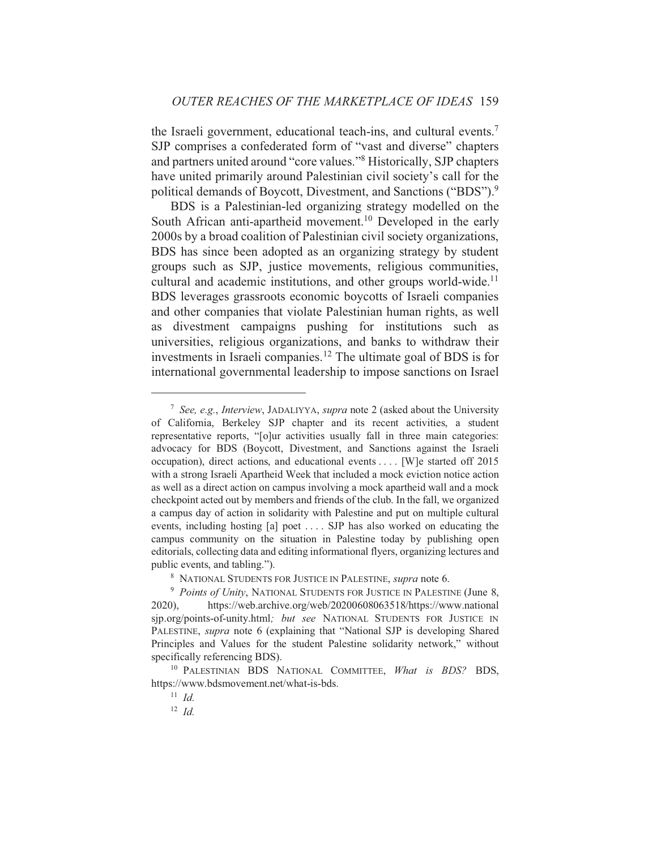the Israeli government, educational teach-ins, and cultural events.<sup>7</sup> SJP comprises a confederated form of "vast and diverse" chapters and partners united around "core values."<sup>8</sup> Historically, SJP chapters have united primarily around Palestinian civil society's call for the political demands of Boycott, Divestment, and Sanctions ("BDS").<sup>9</sup>

BDS is a Palestinian-led organizing strategy modelled on the South African anti-apartheid movement.<sup>10</sup> Developed in the early 2000s by a broad coalition of Palestinian civil society organizations, BDS has since been adopted as an organizing strategy by student groups such as SJP, justice movements, religious communities, cultural and academic institutions, and other groups world-wide.<sup>11</sup> BDS leverages grassroots economic boycotts of Israeli companies and other companies that violate Palestinian human rights, as well divestment campaigns pushing for institutions such as **as** universities, religious organizations, and banks to withdraw their investments in Israeli companies.<sup>12</sup> The ultimate goal of BDS is for international governmental leadership to impose sanctions on Israel

<sup>&</sup>lt;sup>7</sup> See, e.g., *Interview*, JADALIYYA, *supra* note 2 (asked about the University of California, Berkeley SJP chapter and its recent activities, a student representative reports, "[o]ur activities usually fall in three main categories: advocacy for BDS (Boycott, Divestment, and Sanctions against the Israeli occupation), direct actions, and educational events ... [W] e started off 2015 with a strong Israeli Apartheid Week that included a mock eviction notice action as well as a direct action on campus involving a mock apartheid wall and a mock checkpoint acted out by members and friends of the club. In the fall, we organized a campus day of action in solidarity with Palestine and put on multiple cultural events, including hosting [a] poet .... SJP has also worked on educating the campus community on the situation in Palestine today by publishing open editorials, collecting data and editing informational flyers, organizing lectures and public events, and tabling.").

<sup>&</sup>lt;sup>8</sup> NATIONAL STUDENTS FOR JUSTICE IN PALESTINE, supra note 6.

<sup>&</sup>lt;sup>9</sup> Points of Unity, NATIONAL STUDENTS FOR JUSTICE IN PALESTINE (June 8, https://web.archive.org/web/20200608063518/https://www.national  $2020$ ), sip.org/points-of-unity.html; but see NATIONAL STUDENTS FOR JUSTICE IN PALESTINE, supra note 6 (explaining that "National SJP is developing Shared Principles and Values for the student Palestine solidarity network," without specifically referencing BDS).

<sup>&</sup>lt;sup>10</sup> PALESTINIAN BDS NATIONAL COMMITTEE, What is BDS? BDS, https://www.bdsmovement.net/what-is-bds.

 $11$  Id.

 $12 \text{ }\overline{Id}$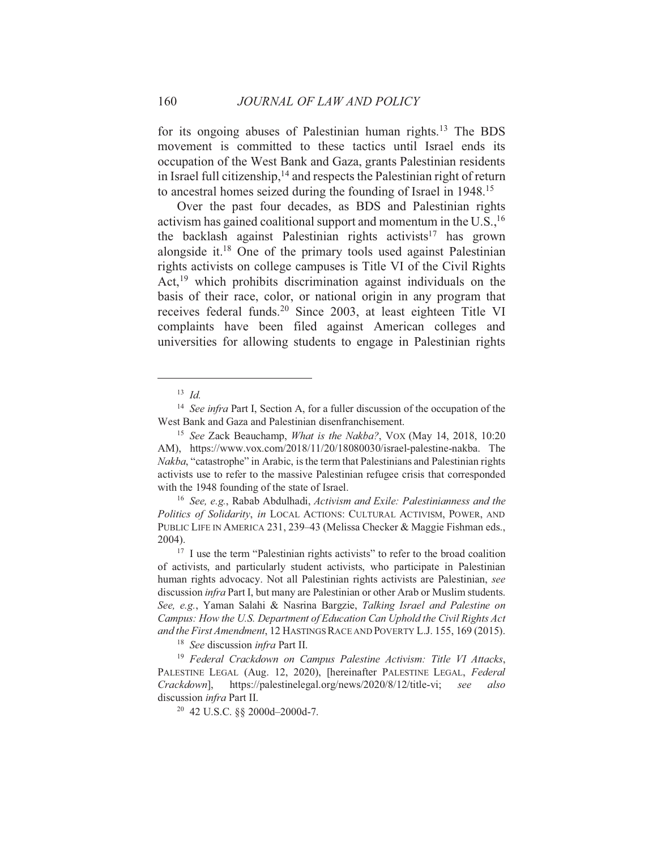for its ongoing abuses of Palestinian human rights.<sup>13</sup> The BDS movement is committed to these tactics until Israel ends its occupation of the West Bank and Gaza, grants Palestinian residents in Israel full citizenship,<sup>14</sup> and respects the Palestinian right of return to ancestral homes seized during the founding of Israel in 1948.<sup>15</sup>

Over the past four decades, as BDS and Palestinian rights activism has gained coalitional support and momentum in the  $U.S.,<sup>16</sup>$ the backlash against Palestinian rights activists<sup>17</sup> has grown alongside it.<sup>18</sup> One of the primary tools used against Palestinian rights activists on college campuses is Title VI of the Civil Rights Act,<sup>19</sup> which prohibits discrimination against individuals on the basis of their race, color, or national origin in any program that receives federal funds.<sup>20</sup> Since 2003, at least eighteen Title VI complaints have been filed against American colleges and universities for allowing students to engage in Palestinian rights

160

<sup>18</sup> See discussion infra Part II.

 $13$  *Id.* 

<sup>&</sup>lt;sup>14</sup> See infra Part I, Section A, for a fuller discussion of the occupation of the West Bank and Gaza and Palestinian disenfranchisement.

<sup>&</sup>lt;sup>15</sup> See Zack Beauchamp, *What is the Nakba?*, VOX (May 14, 2018, 10:20 AM), https://www.vox.com/2018/11/20/18080030/israel-palestine-nakba. The *Nakba*, "catastrophe" in Arabic, is the term that Palestinians and Palestinian rights activists use to refer to the massive Palestinian refugee crisis that corresponded with the 1948 founding of the state of Israel.

<sup>&</sup>lt;sup>16</sup> See, e.g., Rabab Abdulhadi, Activism and Exile: Palestinianness and the Politics of Solidarity, in LOCAL ACTIONS: CULTURAL ACTIVISM, POWER, AND PUBLIC LIFE IN AMERICA 231, 239–43 (Melissa Checker & Maggie Fishman eds., 2004).

<sup>&</sup>lt;sup>17</sup> I use the term "Palestinian rights activists" to refer to the broad coalition of activists, and particularly student activists, who participate in Palestinian human rights advocacy. Not all Palestinian rights activists are Palestinian, see discussion *infra* Part I, but many are Palestinian or other Arab or Muslim students. See, e.g., Yaman Salahi & Nasrina Bargzie, Talking Israel and Palestine on Campus: How the U.S. Department of Education Can Uphold the Civil Rights Act and the First Amendment, 12 HASTINGS RACE AND POVERTY L.J. 155, 169 (2015).

<sup>&</sup>lt;sup>19</sup> Federal Crackdown on Campus Palestine Activism: Title VI Attacks, PALESTINE LEGAL (Aug. 12, 2020), [hereinafter PALESTINE LEGAL, Federal https://palestinelegal.org/news/2020/8/12/title-vi; Crackdown], see also discussion infra Part II.

<sup>&</sup>lt;sup>20</sup> 42 U.S.C. §§ 2000d-2000d-7.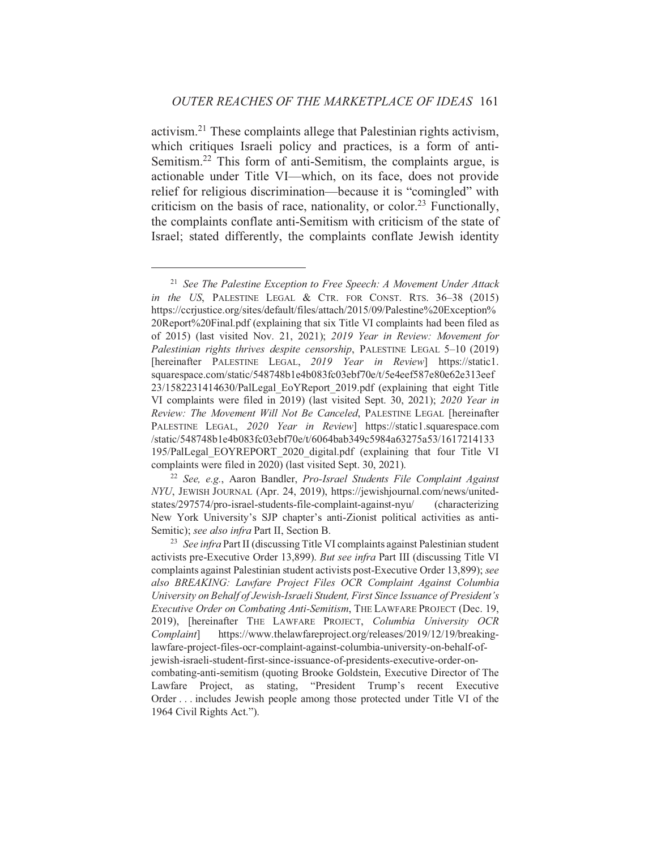activism.<sup>21</sup> These complaints allege that Palestinian rights activism, which critiques Israeli policy and practices, is a form of anti-Semitism.<sup>22</sup> This form of anti-Semitism, the complaints argue, is actionable under Title VI—which, on its face, does not provide relief for religious discrimination—because it is "comingled" with criticism on the basis of race, nationality, or color.<sup>23</sup> Functionally, the complaints conflate anti-Semitism with criticism of the state of Israel; stated differently, the complaints conflate Jewish identity

<sup>&</sup>lt;sup>21</sup> See The Palestine Exception to Free Speech: A Movement Under Attack in the US, PALESTINE LEGAL  $& CTR.$  FOR CONST. RTS.  $36-38$  (2015) https://ccrjustice.org/sites/default/files/attach/2015/09/Palestine%20Exception% 20Report%20Final.pdf (explaining that six Title VI complaints had been filed as of 2015) (last visited Nov. 21, 2021); 2019 Year in Review: Movement for Palestinian rights thrives despite censorship, PALESTINE LEGAL 5-10 (2019) [hereinafter PALESTINE LEGAL, 2019 Year in Review] https://static1. squarespace.com/static/548748b1e4b083fc03ebf70e/t/5e4eef587e80e62e313eef 23/1582231414630/PalLegal EoYReport 2019.pdf (explaining that eight Title VI complaints were filed in 2019) (last visited Sept. 30, 2021); 2020 Year in Review: The Movement Will Not Be Canceled, PALESTINE LEGAL [hereinafter PALESTINE LEGAL, 2020 Year in Review] https://static1.squarespace.com /static/548748b1e4b083fc03ebf70e/t/6064bab349c5984a63275a53/1617214133 195/PalLegal EOYREPORT 2020 digital.pdf (explaining that four Title VI complaints were filed in 2020) (last visited Sept. 30, 2021).

<sup>&</sup>lt;sup>22</sup> See, e.g., Aaron Bandler, *Pro-Israel Students File Complaint Against* NYU, JEWISH JOURNAL (Apr. 24, 2019), https://jewishjournal.com/news/unitedstates/297574/pro-israel-students-file-complaint-against-nyu/ *(characterizing)* New York University's SJP chapter's anti-Zionist political activities as anti-Semitic); see also infra Part II, Section B.

<sup>&</sup>lt;sup>23</sup> See infra Part II (discussing Title VI complaints against Palestinian student activists pre-Executive Order 13,899). But see infra Part III (discussing Title VI complaints against Palestinian student activists post-Executive Order 13,899); see also BREAKING: Lawfare Project Files OCR Complaint Against Columbia University on Behalf of Jewish-Israeli Student, First Since Issuance of President's Executive Order on Combating Anti-Semitism, THE LAWFARE PROJECT (Dec. 19, 2019), [hereinafter THE LAWFARE PROJECT, Columbia University OCR https://www.thelawfareproject.org/releases/2019/12/19/breaking-*Complaint* lawfare-project-files-ocr-complaint-against-columbia-university-on-behalf-ofjewish-israeli-student-first-since-issuance-of-presidents-executive-order-oncombating-anti-semitism (quoting Brooke Goldstein, Executive Director of The Lawfare Project, as stating, "President Trump's recent Executive Order ... includes Jewish people among those protected under Title VI of the 1964 Civil Rights Act.").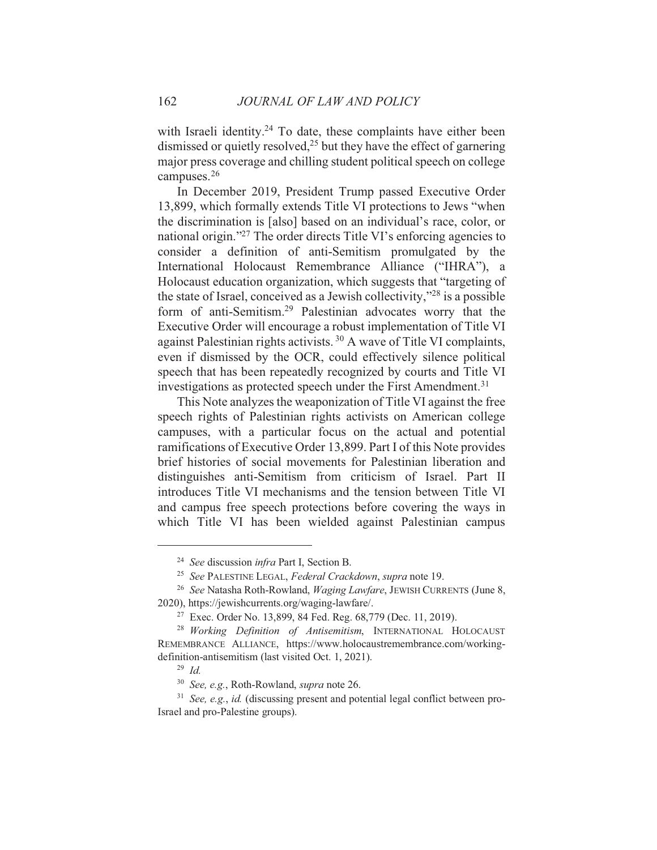with Israeli identity.<sup>24</sup> To date, these complaints have either been dismissed or quietly resolved,<sup>25</sup> but they have the effect of garnering major press coverage and chilling student political speech on college campuses. $26$ 

In December 2019, President Trump passed Executive Order 13,899, which formally extends Title VI protections to Jews "when the discrimination is [also] based on an individual's race, color, or national origin."<sup>27</sup> The order directs Title VI's enforcing agencies to consider a definition of anti-Semitism promulgated by the International Holocaust Remembrance Alliance ("IHRA"), a Holocaust education organization, which suggests that "targeting of the state of Israel, conceived as a Jewish collectivity,"<sup>28</sup> is a possible form of anti-Semitism.<sup>29</sup> Palestinian advocates worry that the Executive Order will encourage a robust implementation of Title VI against Palestinian rights activists.<sup>30</sup> A wave of Title VI complaints, even if dismissed by the OCR, could effectively silence political speech that has been repeatedly recognized by courts and Title VI investigations as protected speech under the First Amendment.<sup>31</sup>

This Note analyzes the weaponization of Title VI against the free speech rights of Palestinian rights activists on American college campuses, with a particular focus on the actual and potential ramifications of Executive Order 13,899. Part I of this Note provides brief histories of social movements for Palestinian liberation and distinguishes anti-Semitism from criticism of Israel. Part II introduces Title VI mechanisms and the tension between Title VI and campus free speech protections before covering the ways in which Title VI has been wielded against Palestinian campus

<sup>&</sup>lt;sup>24</sup> See discussion infra Part I, Section B.

<sup>&</sup>lt;sup>25</sup> See PALESTINE LEGAL, Federal Crackdown, supra note 19.

<sup>&</sup>lt;sup>26</sup> See Natasha Roth-Rowland, Waging Lawfare, JEWISH CURRENTS (June 8, 2020), https://jewishcurrents.org/waging-lawfare/.

<sup>&</sup>lt;sup>27</sup> Exec. Order No. 13,899, 84 Fed. Reg. 68,779 (Dec. 11, 2019).

<sup>&</sup>lt;sup>28</sup> Working Definition of Antisemitism, INTERNATIONAL HOLOCAUST REMEMBRANCE ALLIANCE, https://www.holocaustremembrance.com/workingdefinition-antisemitism (last visited Oct. 1, 2021).

 $29$  *Id.* 

<sup>&</sup>lt;sup>30</sup> See, e.g., Roth-Rowland, supra note 26.

 $31$  See, e.g., id. (discussing present and potential legal conflict between pro-Israel and pro-Palestine groups).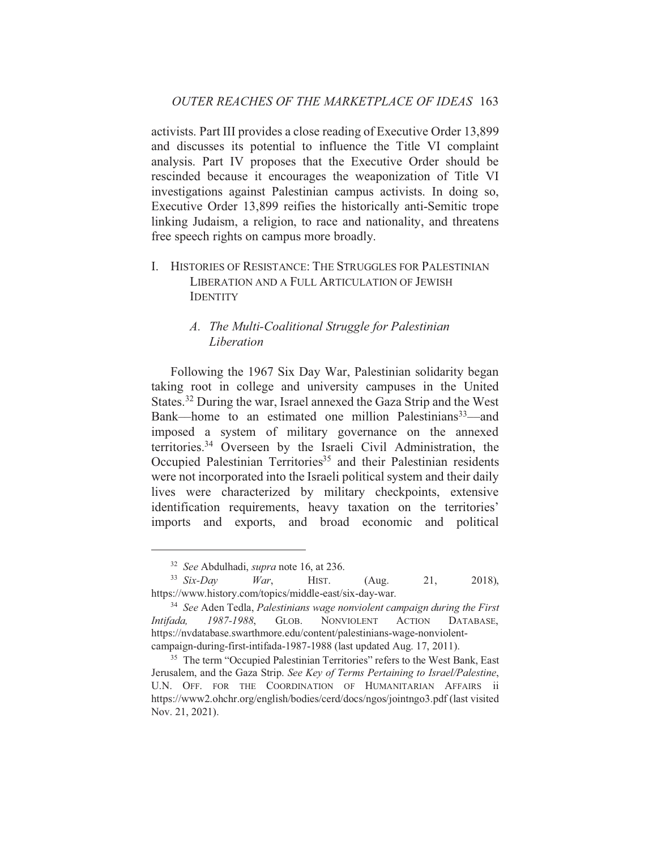activists. Part III provides a close reading of Executive Order 13,899 and discusses its potential to influence the Title VI complaint analysis. Part IV proposes that the Executive Order should be rescinded because it encourages the weaponization of Title VI investigations against Palestinian campus activists. In doing so, Executive Order 13,899 reifies the historically anti-Semitic trope linking Judaism, a religion, to race and nationality, and threatens free speech rights on campus more broadly.

I. HISTORIES OF RESISTANCE: THE STRUGGLES FOR PALESTINIAN LIBERATION AND A FULL ARTICULATION OF JEWISH **IDENTITY** 

## A. The Multi-Coalitional Struggle for Palestinian Liberation

Following the 1967 Six Day War, Palestinian solidarity began taking root in college and university campuses in the United States.<sup>32</sup> During the war, Israel annexed the Gaza Strip and the West Bank—home to an estimated one million Palestinians<sup>33</sup>—and imposed a system of military governance on the annexed territories.<sup>34</sup> Overseen by the Israeli Civil Administration, the Occupied Palestinian Territories<sup>35</sup> and their Palestinian residents were not incorporated into the Israeli political system and their daily lives were characterized by military checkpoints, extensive identification requirements, heavy taxation on the territories' imports and exports, and broad economic and political

<sup>&</sup>lt;sup>32</sup> See Abdulhadi, *supra* note 16, at 236.

 $33$  Six-Day War, HIST.  $(Aug.$ 21,  $2018$ ). https://www.history.com/topics/middle-east/six-day-war.

<sup>&</sup>lt;sup>34</sup> See Aden Tedla, Palestinians wage nonviolent campaign during the First 1987-1988, GLOB. **NONVIOLENT ACTION** Intifada, DATABASE, https://nvdatabase.swarthmore.edu/content/palestinians-wage-nonviolentcampaign-during-first-intifada-1987-1988 (last updated Aug. 17, 2011).

<sup>&</sup>lt;sup>35</sup> The term "Occupied Palestinian Territories" refers to the West Bank, East Jerusalem, and the Gaza Strip. See Key of Terms Pertaining to Israel/Palestine, U.N. OFF. FOR THE COORDINATION OF HUMANITARIAN AFFAIRS ii https://www2.ohchr.org/english/bodies/cerd/docs/ngos/jointngo3.pdf (last visited Nov. 21, 2021).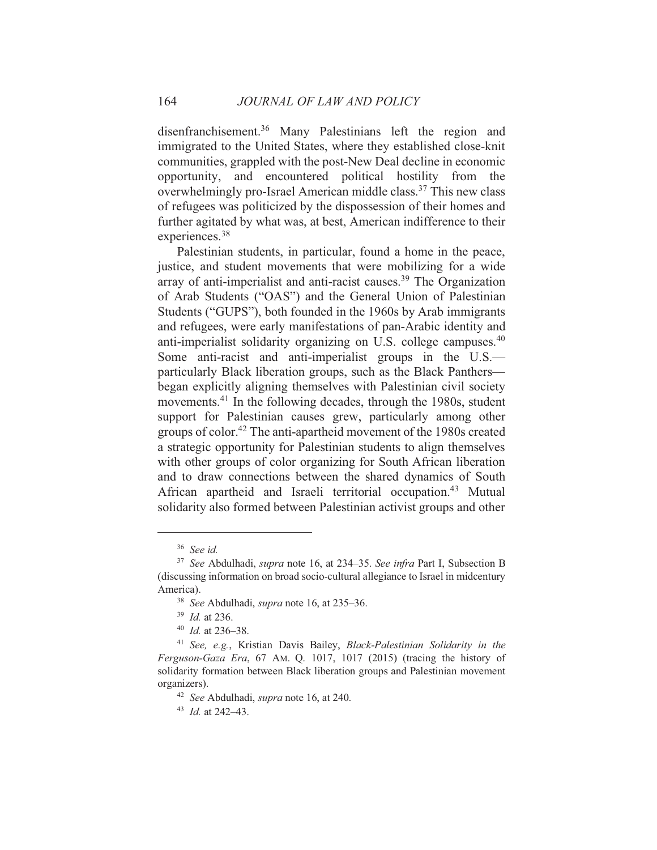disenfranchisement.<sup>36</sup> Many Palestinians left the region and immigrated to the United States, where they established close-knit communities, grappled with the post-New Deal decline in economic opportunity, and encountered political hostility from the overwhelmingly pro-Israel American middle class.<sup>37</sup> This new class of refugees was politicized by the dispossession of their homes and further agitated by what was, at best, American indifference to their experiences.<sup>38</sup>

Palestinian students, in particular, found a home in the peace, justice, and student movements that were mobilizing for a wide array of anti-imperialist and anti-racist causes.<sup>39</sup> The Organization of Arab Students ("OAS") and the General Union of Palestinian Students ("GUPS"), both founded in the 1960s by Arab immigrants and refugees, were early manifestations of pan-Arabic identity and anti-imperialist solidarity organizing on U.S. college campuses.<sup>40</sup> Some anti-racist and anti-imperialist groups in the U.S. particularly Black liberation groups, such as the Black Panthersbegan explicitly aligning themselves with Palestinian civil society movements.<sup>41</sup> In the following decades, through the 1980s, student support for Palestinian causes grew, particularly among other groups of color.<sup>42</sup> The anti-apartheid movement of the 1980s created a strategic opportunity for Palestinian students to align themselves with other groups of color organizing for South African liberation and to draw connections between the shared dynamics of South African apartheid and Israeli territorial occupation.<sup>43</sup> Mutual solidarity also formed between Palestinian activist groups and other

164

 $36$  See id.

<sup>&</sup>lt;sup>37</sup> See Abdulhadi, *supra* note 16, at 234–35. See infra Part I, Subsection B (discussing information on broad socio-cultural allegiance to Israel in midcentury America).

<sup>&</sup>lt;sup>38</sup> See Abdulhadi, *supra* note 16, at 235–36.

 $^{39}$  *Id.* at 236.

 $40$  *Id.* at 236–38.

<sup>&</sup>lt;sup>41</sup> See, e.g., Kristian Davis Bailey, Black-Palestinian Solidarity in the Ferguson-Gaza Era, 67 AM. Q. 1017, 1017 (2015) (tracing the history of solidarity formation between Black liberation groups and Palestinian movement organizers).

<sup>&</sup>lt;sup>42</sup> See Abdulhadi, *supra* note 16, at 240.

 $^{43}$  *Id at* 242-43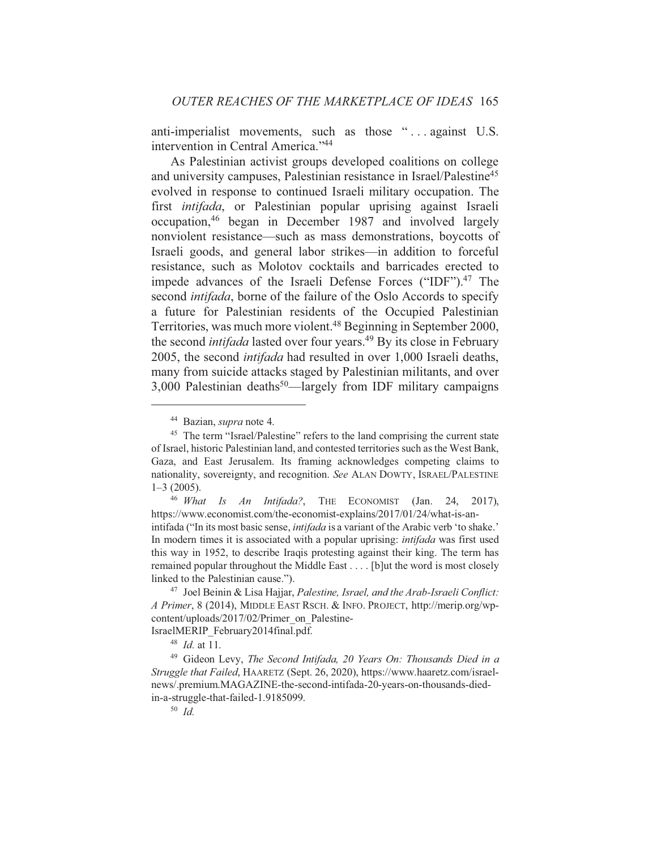anti-imperialist movements, such as those "... against U.S. intervention in Central America."<sup>44</sup>

As Palestinian activist groups developed coalitions on college and university campuses, Palestinian resistance in Israel/Palestine<sup>45</sup> evolved in response to continued Israeli military occupation. The first *intifada*, or Palestinian popular uprising against Israeli occupation,<sup>46</sup> began in December 1987 and involved largely nonviolent resistance—such as mass demonstrations, boycotts of Israeli goods, and general labor strikes—in addition to forceful resistance, such as Molotov cocktails and barricades erected to impede advances of the Israeli Defense Forces ("IDF").<sup>47</sup> The second *intifada*, borne of the failure of the Oslo Accords to specify a future for Palestinian residents of the Occupied Palestinian Territories, was much more violent.<sup>48</sup> Beginning in September 2000, the second *intifada* lasted over four years.<sup>49</sup> By its close in February 2005, the second *intifada* had resulted in over 1,000 Israeli deaths, many from suicide attacks staged by Palestinian militants, and over 3,000 Palestinian deaths<sup>50</sup>—largely from IDF military campaigns

<sup>&</sup>lt;sup>44</sup> Bazian, *supra* note 4.

<sup>&</sup>lt;sup>45</sup> The term "Israel/Palestine" refers to the land comprising the current state of Israel, historic Palestinian land, and contested territories such as the West Bank, Gaza, and East Jerusalem. Its framing acknowledges competing claims to nationality, sovereignty, and recognition. See ALAN DOWTY, ISRAEL/PALESTINE  $1 - 3$  (2005).

<sup>&</sup>lt;sup>46</sup> What Is An Intifada?, THE ECONOMIST (Jan. 24, 2017), https://www.economist.com/the-economist-explains/2017/01/24/what-is-anintifada ("In its most basic sense, *intifada* is a variant of the Arabic verb 'to shake." In modern times it is associated with a popular uprising: *intifada* was first used this way in 1952, to describe Iraqis protesting against their king. The term has remained popular throughout the Middle East . . . . [b]ut the word is most closely linked to the Palestinian cause.").

<sup>&</sup>lt;sup>47</sup> Joel Beinin & Lisa Haijar, *Palestine, Israel, and the Arab-Israeli Conflict:* A Primer, 8 (2014), MIDDLE EAST RSCH. & INFO. PROJECT, http://merip.org/wpcontent/uploads/2017/02/Primer on Palestine-IsraelMERIP February2014final.pdf.

 $48$  *Id.* at 11.

<sup>&</sup>lt;sup>49</sup> Gideon Levy, The Second Intifada, 20 Years On: Thousands Died in a Struggle that Failed, HAARETZ (Sept. 26, 2020), https://www.haaretz.com/israelnews/.premium.MAGAZINE-the-second-intifada-20-years-on-thousands-diedin-a-struggle-that-failed-1.9185099.

 $50$  *Id.*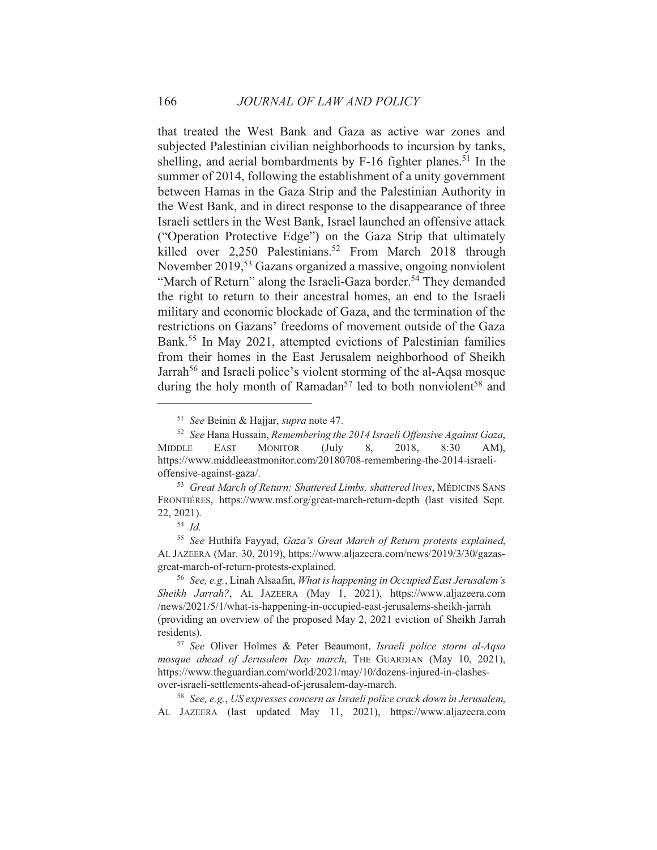that treated the West Bank and Gaza as active war zones and subjected Palestinian civilian neighborhoods to incursion by tanks, shelling, and aerial bombardments by F-16 fighter planes.<sup>51</sup> In the summer of 2014, following the establishment of a unity government between Hamas in the Gaza Strip and the Palestinian Authority in the West Bank, and in direct response to the disappearance of three Israeli settlers in the West Bank, Israel launched an offensive attack ("Operation Protective Edge") on the Gaza Strip that ultimately killed over 2,250 Palestinians.<sup>52</sup> From March 2018 through November 2019,<sup>53</sup> Gazans organized a massive, ongoing nonviolent "March of Return" along the Israeli-Gaza border.<sup>54</sup> They demanded the right to return to their ancestral homes, an end to the Israeli military and economic blockade of Gaza, and the termination of the restrictions on Gazans' freedoms of movement outside of the Gaza Bank.<sup>55</sup> In May 2021, attempted evictions of Palestinian families from their homes in the East Jerusalem neighborhood of Sheikh Jarrah<sup>56</sup> and Israeli police's violent storming of the al-Aqsa mosque during the holy month of Ramadan<sup>57</sup> led to both nonviolent<sup>58</sup> and

<sup>55</sup> See Huthifa Fayyad, Gaza's Great March of Return protests explained, AL JAZEERA (Mar. 30, 2019), https://www.aljazeera.com/news/2019/3/30/gazasgreat-march-of-return-protests-explained.

166

<sup>&</sup>lt;sup>51</sup> See Beinin & Hajjar, *supra* note 47.

<sup>&</sup>lt;sup>52</sup> See Hana Hussain, Remembering the 2014 Israeli Offensive Against Gaza, **MIDDLE EAST MONITOR**  $(July)$ 8. 2018,  $8:30$  $AM$ ). https://www.middleeastmonitor.com/20180708-remembering-the-2014-israelioffensive-against-gaza/.

<sup>&</sup>lt;sup>53</sup> Great March of Return: Shattered Limbs, shattered lives, MÉDICINS SANS FRONTIÉRES, https://www.msf.org/great-march-return-depth (last visited Sept. 22, 2021).

 $54$  Id.

<sup>&</sup>lt;sup>56</sup> See, e.g., Linah Alsaafin, What is happening in Occupied East Jerusalem's Sheikh Jarrah?, AL JAZEERA (May 1, 2021), https://www.aljazeera.com /news/2021/5/1/what-is-happening-in-occupied-east-jerusalems-sheikh-jarrah (providing an overview of the proposed May 2, 2021 eviction of Sheikh Jarrah residents).

<sup>&</sup>lt;sup>57</sup> See Oliver Holmes & Peter Beaumont, Israeli police storm al-Aqsa mosque ahead of Jerusalem Day march, THE GUARDIAN (May 10, 2021), https://www.theguardian.com/world/2021/may/10/dozens-injured-in-clashesover-israeli-settlements-ahead-of-jerusalem-day-march.

<sup>&</sup>lt;sup>58</sup> See, e.g., US expresses concern as Israeli police crack down in Jerusalem, AL JAZEERA (last updated May 11, 2021), https://www.aliazeera.com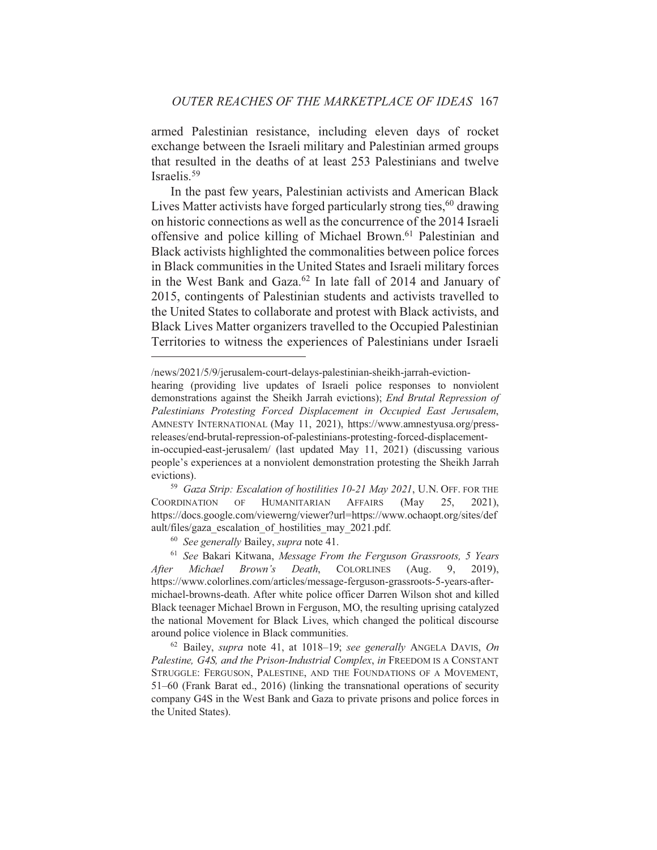armed Palestinian resistance, including eleven days of rocket exchange between the Israeli military and Palestinian armed groups that resulted in the deaths of at least 253 Palestinians and twelve Israelis. $59$ 

In the past few years, Palestinian activists and American Black Lives Matter activists have forged particularly strong ties,<sup>60</sup> drawing on historic connections as well as the concurrence of the 2014 Israeli offensive and police killing of Michael Brown.<sup>61</sup> Palestinian and Black activists highlighted the commonalities between police forces in Black communities in the United States and Israeli military forces in the West Bank and Gaza.<sup>62</sup> In late fall of 2014 and January of 2015, contingents of Palestinian students and activists travelled to the United States to collaborate and protest with Black activists, and Black Lives Matter organizers travelled to the Occupied Palestinian Territories to witness the experiences of Palestinians under Israeli

<sup>59</sup> Gaza Strip: Escalation of hostilities 10-21 May 2021, U.N. OFF. FOR THE **COORDINATION** OF **HUMANITARIAN AFFAIRS** (May 25.  $2021$ ), https://docs.google.com/viewerng/viewer?url=https://www.ochaopt.org/sites/def ault/files/gaza escalation of hostilities may 2021.pdf.

<sup>60</sup> See generally Bailey, supra note 41.

<sup>62</sup> Bailey, *supra* note 41, at 1018-19; see generally ANGELA DAVIS, On Palestine, G4S, and the Prison-Industrial Complex, in FREEDOM IS A CONSTANT STRUGGLE: FERGUSON, PALESTINE, AND THE FOUNDATIONS OF A MOVEMENT, 51–60 (Frank Barat ed., 2016) (linking the transnational operations of security company G4S in the West Bank and Gaza to private prisons and police forces in the United States).

<sup>/</sup>news/2021/5/9/jerusalem-court-delays-palestinian-sheikh-jarrah-eviction-

hearing (providing live updates of Israeli police responses to nonviolent demonstrations against the Sheikh Jarrah evictions); End Brutal Repression of Palestinians Protesting Forced Displacement in Occupied East Jerusalem, AMNESTY INTERNATIONAL (May 11, 2021), https://www.amnestyusa.org/pressreleases/end-brutal-repression-of-palestinians-protesting-forced-displacementin-occupied-east-jerusalem/ (last updated May 11, 2021) (discussing various people's experiences at a nonviolent demonstration protesting the Sheikh Jarrah

evictions).

<sup>&</sup>lt;sup>61</sup> See Bakari Kitwana, Message From the Ferguson Grassroots, 5 Years Michael **COLORLINES** After Brown's Death,  $(Au\varrho,$ 9. 2019). https://www.colorlines.com/articles/message-ferguson-grassroots-5-years-aftermichael-browns-death. After white police officer Darren Wilson shot and killed Black teenager Michael Brown in Ferguson, MO, the resulting uprising catalyzed the national Movement for Black Lives, which changed the political discourse around police violence in Black communities.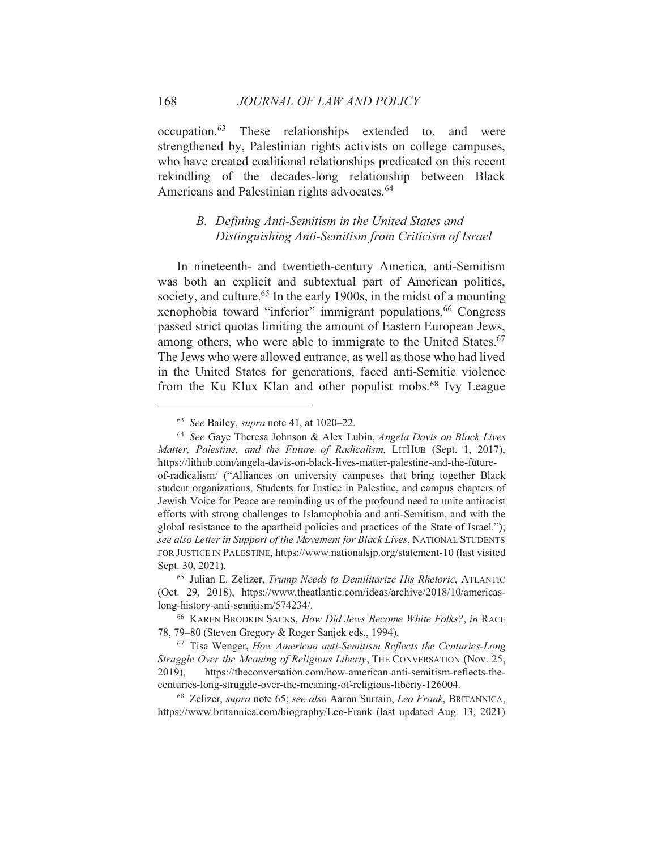occupation.<sup>63</sup> These relationships extended to, and were strengthened by, Palestinian rights activists on college campuses, who have created coalitional relationships predicated on this recent rekindling of the decades-long relationship between Black Americans and Palestinian rights advocates.<sup>64</sup>

## B. Defining Anti-Semitism in the United States and Distinguishing Anti-Semitism from Criticism of Israel

In nineteenth- and twentieth-century America, anti-Semitism was both an explicit and subtextual part of American politics, society, and culture.<sup>65</sup> In the early 1900s, in the midst of a mounting xenophobia toward "inferior" immigrant populations, <sup>66</sup> Congress passed strict quotas limiting the amount of Eastern European Jews, among others, who were able to immigrate to the United States.<sup>67</sup> The Jews who were allowed entrance, as well as those who had lived in the United States for generations, faced anti-Semitic violence from the Ku Klux Klan and other populist mobs.<sup>68</sup> Ivy League

<sup>&</sup>lt;sup>63</sup> See Bailey, *supra* note 41, at 1020–22.

<sup>&</sup>lt;sup>64</sup> See Gaye Theresa Johnson & Alex Lubin, *Angela Davis on Black Lives* Matter, Palestine, and the Future of Radicalism, LITHUB (Sept. 1, 2017), https://lithub.com/angela-davis-on-black-lives-matter-palestine-and-the-futureof-radicalism/ ("Alliances on university campuses that bring together Black student organizations, Students for Justice in Palestine, and campus chapters of Jewish Voice for Peace are reminding us of the profound need to unite antiracist efforts with strong challenges to Islamophobia and anti-Semitism, and with the global resistance to the apartheid policies and practices of the State of Israel."); see also Letter in Support of the Movement for Black Lives, NATIONAL STUDENTS FOR JUSTICE IN PALESTINE, https://www.nationalsjp.org/statement-10 (last visited Sept. 30, 2021).

<sup>&</sup>lt;sup>65</sup> Julian E. Zelizer, Trump Needs to Demilitarize His Rhetoric, ATLANTIC (Oct. 29, 2018), https://www.theatlantic.com/ideas/archive/2018/10/americaslong-history-anti-semitism/574234/.

<sup>&</sup>lt;sup>66</sup> KAREN BRODKIN SACKS, How Did Jews Become White Folks?, in RACE 78, 79-80 (Steven Gregory & Roger Sanjek eds., 1994).

 $67$  Tisa Wenger, How American anti-Semitism Reflects the Centuries-Long Struggle Over the Meaning of Religious Liberty, THE CONVERSATION (Nov. 25, 2019), https://theconversation.com/how-american-anti-semitism-reflects-thecenturies-long-struggle-over-the-meaning-of-religious-liberty-126004.

<sup>68</sup> Zelizer, *supra* note 65; see also Aaron Surrain, Leo Frank, BRITANNICA, https://www.britannica.com/biography/Leo-Frank (last updated Aug. 13, 2021)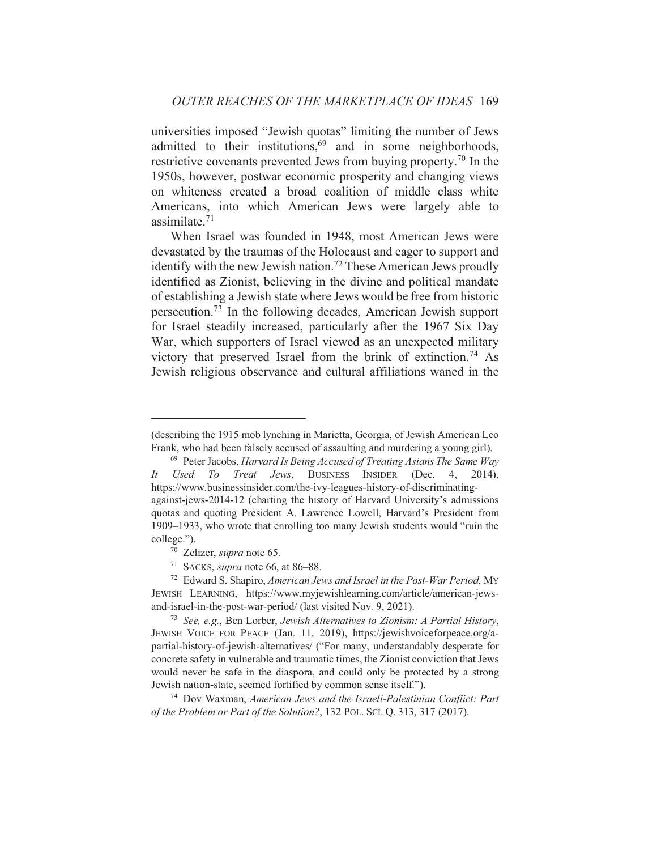universities imposed "Jewish quotas" limiting the number of Jews admitted to their institutions,<sup>69</sup> and in some neighborhoods, restrictive covenants prevented Jews from buying property.<sup>70</sup> In the 1950s, however, postwar economic prosperity and changing views on whiteness created a broad coalition of middle class white Americans, into which American Jews were largely able to assimilate. $71$ 

When Israel was founded in 1948, most American Jews were devastated by the traumas of the Holocaust and eager to support and identify with the new Jewish nation.<sup>72</sup> These American Jews proudly identified as Zionist, believing in the divine and political mandate of establishing a Jewish state where Jews would be free from historic persecution.<sup>73</sup> In the following decades, American Jewish support for Israel steadily increased, particularly after the 1967 Six Day War, which supporters of Israel viewed as an unexpected military victory that preserved Israel from the brink of extinction.<sup>74</sup> As Jewish religious observance and cultural affiliations waned in the

<sup>(</sup>describing the 1915 mob lynching in Marietta, Georgia, of Jewish American Leo Frank, who had been falsely accused of assaulting and murdering a young girl).

<sup>&</sup>lt;sup>69</sup> Peter Jacobs, Harvard Is Being Accused of Treating Asians The Same Way Used To Treat Jews, BUSINESS INSIDER (Dec. 4,  $2014$ ).  $It$ https://www.businessinsider.com/the-ivy-leagues-history-of-discriminatingagainst-jews-2014-12 (charting the history of Harvard University's admissions quotas and quoting President A. Lawrence Lowell, Harvard's President from 1909–1933, who wrote that enrolling too many Jewish students would "ruin the college.").

<sup>70</sup> Zelizer, supra note 65.

<sup>&</sup>lt;sup>71</sup> SACKS, *supra* note 66, at 86–88.

<sup>&</sup>lt;sup>72</sup> Edward S. Shapiro, American Jews and Israel in the Post-War Period, MY JEWISH LEARNING, https://www.myjewishlearning.com/article/american-jewsand-israel-in-the-post-war-period/ (last visited Nov. 9, 2021).

<sup>&</sup>lt;sup>73</sup> See, e.g., Ben Lorber, Jewish Alternatives to Zionism: A Partial History, JEWISH VOICE FOR PEACE (Jan. 11, 2019), https://jewishvoiceforpeace.org/apartial-history-of-jewish-alternatives/ ("For many, understandably desperate for concrete safety in vulnerable and traumatic times, the Zionist conviction that Jews would never be safe in the diaspora, and could only be protected by a strong Jewish nation-state, seemed fortified by common sense itself.").

<sup>&</sup>lt;sup>74</sup> Dov Waxman, American Jews and the Israeli-Palestinian Conflict: Part of the Problem or Part of the Solution?, 132 POL. SCI. O. 313, 317 (2017).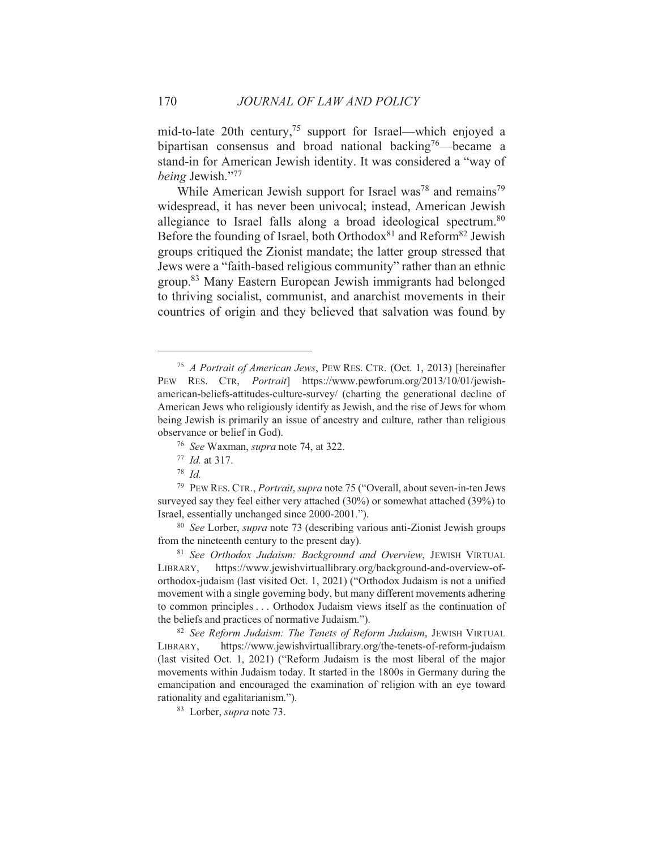mid-to-late 20th century,<sup>75</sup> support for Israel—which enjoyed a bipartisan consensus and broad national backing<sup>76</sup>—became a stand-in for American Jewish identity. It was considered a "way of being Jewish."77

While American Jewish support for Israel was<sup>78</sup> and remains<sup>79</sup> widespread, it has never been univocal; instead, American Jewish allegiance to Israel falls along a broad ideological spectrum.<sup>80</sup> Before the founding of Israel, both Orthodox<sup>81</sup> and Reform<sup>82</sup> Jewish groups critiqued the Zionist mandate; the latter group stressed that Jews were a "faith-based religious community" rather than an ethnic group.<sup>83</sup> Many Eastern European Jewish immigrants had belonged to thriving socialist, communist, and anarchist movements in their countries of origin and they believed that salvation was found by

<sup>&</sup>lt;sup>75</sup> A Portrait of American Jews, PEW RES. CTR. (Oct. 1, 2013) [hereinafter PEW RES. CTR, *Portrait*] https://www.pewforum.org/2013/10/01/jewishamerican-beliefs-attitudes-culture-survey/ (charting the generational decline of American Jews who religiously identify as Jewish, and the rise of Jews for whom being Jewish is primarily an issue of ancestry and culture, rather than religious observance or belief in God).

<sup>&</sup>lt;sup>76</sup> See Waxman, *supra* note 74, at 322.

 $177$  *Id.* at 317.

 $78$  *Id.* 

<sup>&</sup>lt;sup>79</sup> PEW RES. CTR., *Portrait, supra* note 75 ("Overall, about seven-in-ten Jews" surveyed say they feel either very attached (30%) or somewhat attached (39%) to Israel, essentially unchanged since 2000-2001.").

<sup>&</sup>lt;sup>80</sup> See Lorber, *supra* note 73 (describing various anti-Zionist Jewish groups from the nineteenth century to the present day).

<sup>&</sup>lt;sup>81</sup> See Orthodox Judaism: Background and Overview, JEWISH VIRTUAL https://www.jewishvirtuallibrary.org/background-and-overview-of-LIBRARY, orthodox-judaism (last visited Oct. 1, 2021) ("Orthodox Judaism is not a unified movement with a single governing body, but many different movements adhering to common principles . . . Orthodox Judaism views itself as the continuation of the beliefs and practices of normative Judaism.").

<sup>82</sup> See Reform Judaism: The Tenets of Reform Judaism, JEWISH VIRTUAL https://www.jewishvirtuallibrary.org/the-tenets-of-reform-iudaism LIBRARY. (last visited Oct. 1, 2021) ("Reform Judaism is the most liberal of the major movements within Judaism today. It started in the 1800s in Germany during the emancipation and encouraged the examination of religion with an eye toward rationality and egalitarianism.").

<sup>&</sup>lt;sup>83</sup> Lorber, *supra* note 73.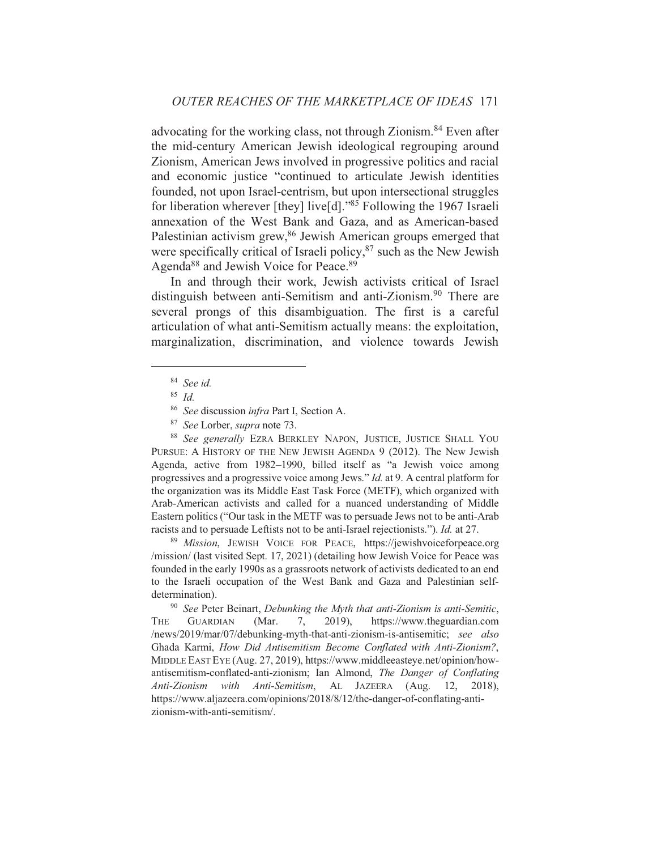advocating for the working class, not through Zionism.<sup>84</sup> Even after the mid-century American Jewish ideological regrouping around Zionism, American Jews involved in progressive politics and racial and economic justice "continued to articulate Jewish identities founded, not upon Israel-centrism, but upon intersectional struggles for liberation wherever [they] live[d]."85 Following the 1967 Israeli annexation of the West Bank and Gaza, and as American-based Palestinian activism grew,<sup>86</sup> Jewish American groups emerged that were specifically critical of Israeli policy,<sup>87</sup> such as the New Jewish Agenda<sup>88</sup> and Jewish Voice for Peace.<sup>89</sup>

In and through their work, Jewish activists critical of Israel distinguish between anti-Semitism and anti-Zionism.<sup>90</sup> There are several prongs of this disambiguation. The first is a careful articulation of what anti-Semitism actually means: the exploitation, marginalization, discrimination, and violence towards Jewish

88 See generally EZRA BERKLEY NAPON, JUSTICE, JUSTICE SHALL YOU PURSUE: A HISTORY OF THE NEW JEWISH AGENDA 9 (2012). The New Jewish Agenda, active from 1982-1990, billed itself as "a Jewish voice among progressives and a progressive voice among Jews." Id. at 9. A central platform for the organization was its Middle East Task Force (METF), which organized with Arab-American activists and called for a nuanced understanding of Middle Eastern politics ("Our task in the METF was to persuade Jews not to be anti-Arab racists and to persuade Leftists not to be anti-Israel rejectionists."). *Id.* at 27.

89 Mission, JEWISH VOICE FOR PEACE, https://jewishvoiceforpeace.org /mission/ (last visited Sept. 17, 2021) (detailing how Jewish Voice for Peace was founded in the early 1990s as a grassroots network of activists dedicated to an end to the Israeli occupation of the West Bank and Gaza and Palestinian selfdetermination).

 $90$  See Peter Beinart, Debunking the Myth that anti-Zionism is anti-Semitic, THE **GUARDIAN** (Mar.  $7.$  $2019$ ), https://www.theguardian.com /news/2019/mar/07/debunking-myth-that-anti-zionism-is-antisemitic; see also Ghada Karmi, How Did Antisemitism Become Conflated with Anti-Zionism?, MIDDLE EAST EYE (Aug. 27, 2019), https://www.middleeasteye.net/opinion/howantisemitism-conflated-anti-zionism; Ian Almond, The Danger of Conflating Anti-Zionism with Anti-Semitism, AL JAZEERA (Aug. 12, 2018), https://www.aljazeera.com/opinions/2018/8/12/the-danger-of-conflating-antizionism-with-anti-semitism/.

 $84$  See id.

 $85$  *Id.* 

<sup>&</sup>lt;sup>86</sup> See discussion infra Part I, Section A.

<sup>&</sup>lt;sup>87</sup> See Lorber, supra note 73.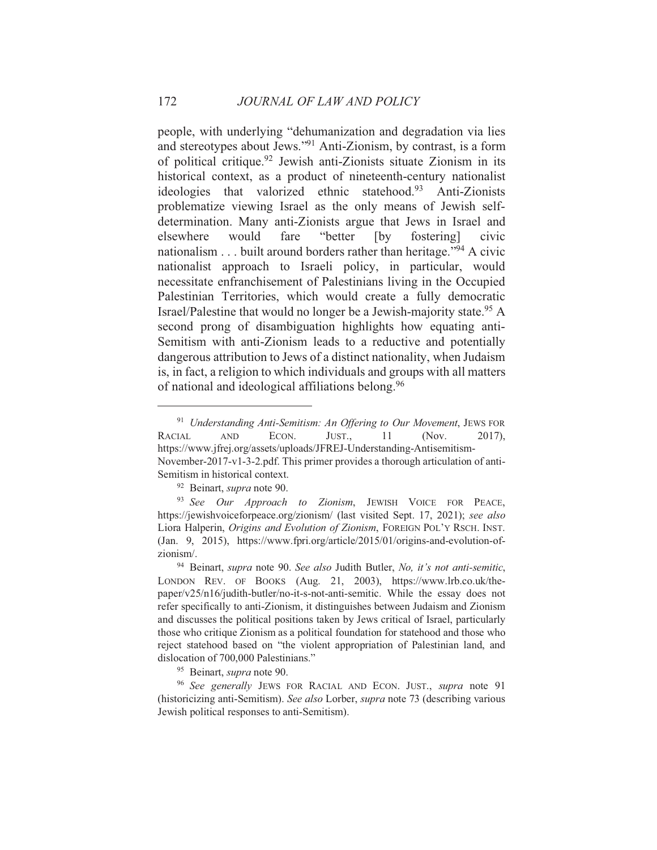people, with underlying "dehumanization and degradation via lies and stereotypes about Jews."<sup>91</sup> Anti-Zionism, by contrast, is a form of political critique.<sup>92</sup> Jewish anti-Zionists situate Zionism in its historical context, as a product of nineteenth-century nationalist ideologies that valorized ethnic statehood.<sup>93</sup> Anti-Zionists problematize viewing Israel as the only means of Jewish selfdetermination. Many anti-Zionists argue that Jews in Israel and "better elsewhere would fare  $[by]$ fostering] civic nationalism  $\dots$  built around borders rather than heritage."<sup>94</sup> A civic nationalist approach to Israeli policy, in particular, would necessitate enfranchisement of Palestinians living in the Occupied Palestinian Territories, which would create a fully democratic Israel/Palestine that would no longer be a Jewish-majority state.<sup>95</sup> A second prong of disambiguation highlights how equating anti-Semitism with anti-Zionism leads to a reductive and potentially dangerous attribution to Jews of a distinct nationality, when Judaism is, in fact, a religion to which individuals and groups with all matters of national and ideological affiliations belong.<sup>96</sup>

<sup>&</sup>lt;sup>91</sup> Understanding Anti-Semitism: An Offering to Our Movement, JEWS FOR ECON. 11  $2017$ , **RACIAL**  $\mathbf{AND}$ JUST., (Nov. https://www.jfrej.org/assets/uploads/JFREJ-Understanding-Antisemitism-November-2017-v1-3-2.pdf. This primer provides a thorough articulation of anti-Semitism in historical context.

<sup>&</sup>lt;sup>92</sup> Beinart, *supra* note 90.

<sup>&</sup>lt;sup>93</sup> See Our Approach to Zionism, JEWISH VOICE FOR PEACE, https://jewishyoiceforpeace.org/zionism/ (last visited Sept. 17, 2021); see also Liora Halperin, Origins and Evolution of Zionism, FOREIGN POL'Y RSCH. INST. (Jan. 9, 2015), https://www.fpri.org/article/2015/01/origins-and-evolution-ofzionism/.

<sup>&</sup>lt;sup>94</sup> Beinart, supra note 90. See also Judith Butler, No, it's not anti-semitic, LONDON REV. OF BOOKS (Aug. 21, 2003), https://www.lrb.co.uk/thepaper/v25/n16/judith-butler/no-it-s-not-anti-semitic. While the essay does not refer specifically to anti-Zionism, it distinguishes between Judaism and Zionism and discusses the political positions taken by Jews critical of Israel, particularly those who critique Zionism as a political foundation for statehood and those who reject statehood based on "the violent appropriation of Palestinian land, and dislocation of 700,000 Palestinians."

<sup>&</sup>lt;sup>95</sup> Beinart, *supra* note 90.

<sup>&</sup>lt;sup>96</sup> See generally JEWS FOR RACIAL AND ECON. JUST., supra note 91 (historicizing anti-Semitism). See also Lorber, *supra* note 73 (describing various Jewish political responses to anti-Semitism).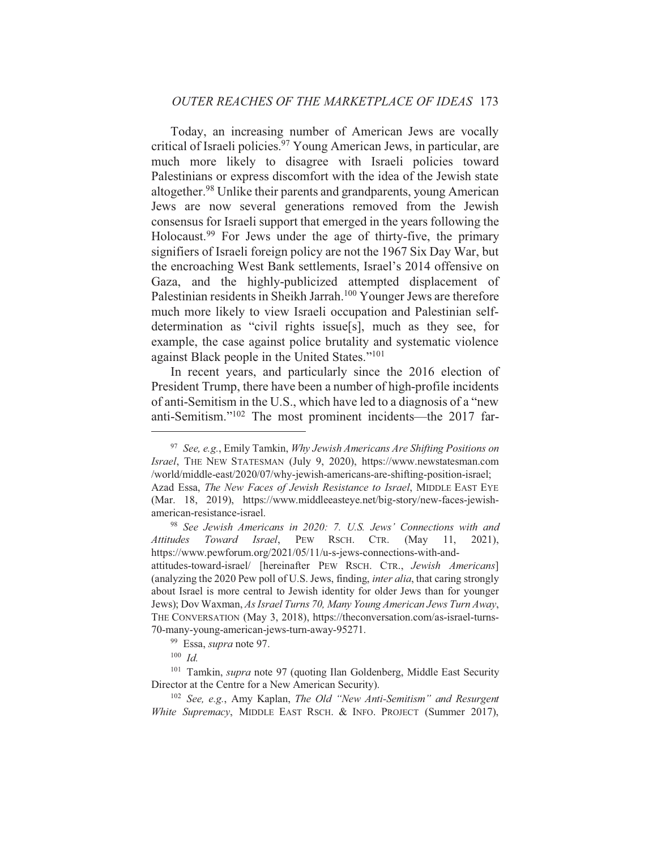Today, an increasing number of American Jews are vocally critical of Israeli policies.<sup>97</sup> Young American Jews, in particular, are much more likely to disagree with Israeli policies toward Palestinians or express discomfort with the idea of the Jewish state altogether.<sup>98</sup> Unlike their parents and grandparents, young American Jews are now several generations removed from the Jewish consensus for Israeli support that emerged in the years following the Holocaust.<sup>99</sup> For Jews under the age of thirty-five, the primary signifiers of Israeli foreign policy are not the 1967 Six Day War, but the encroaching West Bank settlements, Israel's 2014 offensive on Gaza, and the highly-publicized attempted displacement of Palestinian residents in Sheikh Jarrah.<sup>100</sup> Younger Jews are therefore much more likely to view Israeli occupation and Palestinian selfdetermination as "civil rights issue[s], much as they see, for example, the case against police brutality and systematic violence against Black people in the United States."<sup>101</sup>

In recent years, and particularly since the 2016 election of President Trump, there have been a number of high-profile incidents of anti-Semitism in the U.S., which have led to a diagnosis of a "new anti-Semitism."<sup>102</sup> The most prominent incidents—the 2017 far-

<sup>98</sup> See Jewish Americans in 2020: 7. U.S. Jews' Connections with and Toward Israel, PEW RSCH. CTR. **Attitudes** (May  $2021$ ). 11. https://www.pewforum.org/2021/05/11/u-s-jews-connections-with-and-

<sup>&</sup>lt;sup>97</sup> See, e.g., Emily Tamkin, Why Jewish Americans Are Shifting Positions on Israel, THE NEW STATESMAN (July 9, 2020), https://www.newstatesman.com /world/middle-east/2020/07/why-jewish-americans-are-shifting-position-israel; Azad Essa, The New Faces of Jewish Resistance to Israel, MIDDLE EAST EYE (Mar. 18, 2019), https://www.middleeasteye.net/big-story/new-faces-jewishamerican-resistance-israel.

attitudes-toward-israel/ [hereinafter PEW RSCH. CTR., Jewish Americans] (analyzing the 2020 Pew poll of U.S. Jews, finding, *inter alia*, that caring strongly about Israel is more central to Jewish identity for older Jews than for younger Jews); Dov Waxman, As Israel Turns 70, Many Young American Jews Turn Away, THE CONVERSATION (May 3, 2018), https://theconversation.com/as-israel-turns-70-many-young-american-jews-turn-away-95271.

<sup>&</sup>lt;sup>99</sup> Essa, *supra* note 97.

 $100$  *Id.* 

<sup>&</sup>lt;sup>101</sup> Tamkin, *supra* note 97 (quoting Ilan Goldenberg, Middle East Security Director at the Centre for a New American Security).

<sup>&</sup>lt;sup>102</sup> See, e.g., Amy Kaplan, The Old "New Anti-Semitism" and Resurgent White Supremacy, MIDDLE EAST RSCH. & INFO. PROJECT (Summer 2017),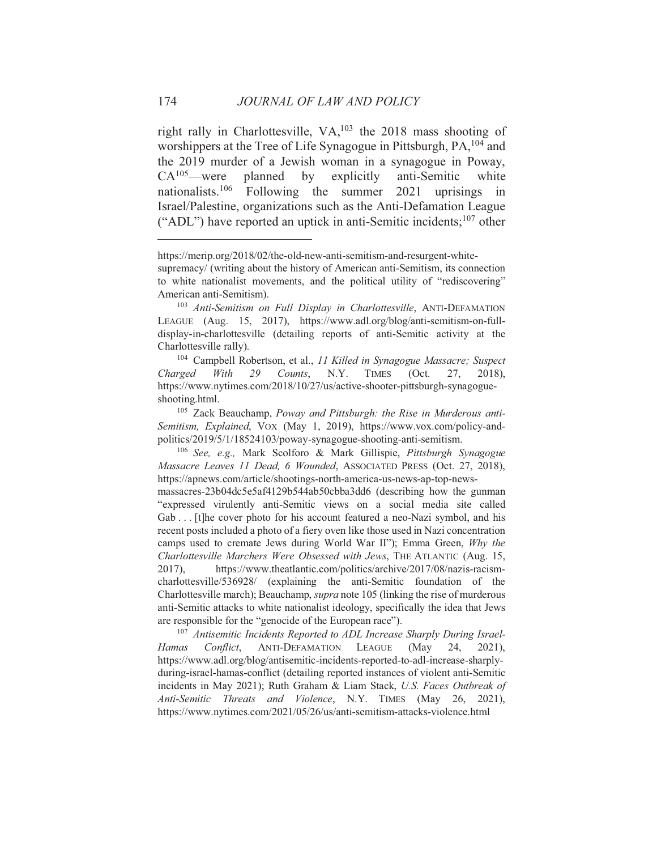right rally in Charlottesville, VA,<sup>103</sup> the 2018 mass shooting of worshippers at the Tree of Life Synagogue in Pittsburgh, PA, <sup>104</sup> and the 2019 murder of a Jewish woman in a synagogue in Poway,  $CA^{105}$  were planned  $by$ explicitly anti-Semitic white nationalists.<sup>106</sup> Following the summer 2021 uprisings in Israel/Palestine, organizations such as the Anti-Defamation League ("ADL") have reported an uptick in anti-Semitic incidents; <sup>107</sup> other

<sup>104</sup> Campbell Robertson, et al., 11 Killed in Synagogue Massacre; Suspect Charged With 29 Counts,  $N.Y.$ **TIMES**  $(Oct.$ 27,  $2018$ ). https://www.nytimes.com/2018/10/27/us/active-shooter-pittsburgh-synagogueshooting.html.

<sup>105</sup> Zack Beauchamp, Poway and Pittsburgh: the Rise in Murderous anti-Semitism, Explained, VOX (May 1, 2019), https://www.vox.com/policy-andpolitics/2019/5/1/18524103/poway-synagogue-shooting-anti-semitism.

<sup>106</sup> See, e.g., Mark Scolforo & Mark Gillispie, Pittsburgh Synagogue Massacre Leaves 11 Dead, 6 Wounded, ASSOCIATED PRESS (Oct. 27, 2018), https://apnews.com/article/shootings-north-america-us-news-ap-top-news-

massacres-23b04dc5e5af4129b544ab50cbba3dd6 (describing how the gunman "expressed virulently anti-Semitic views on a social media site called Gab... [t] he cover photo for his account featured a neo-Nazi symbol, and his recent posts included a photo of a fiery oven like those used in Nazi concentration camps used to cremate Jews during World War II"); Emma Green, Why the Charlottesville Marchers Were Obsessed with Jews, THE ATLANTIC (Aug. 15, https://www.theatlantic.com/politics/archive/2017/08/nazis-racism- $2017$ ). charlottesville/536928/ (explaining the anti-Semitic foundation of the Charlottesville march); Beauchamp, *supra* note 105 (linking the rise of murderous anti-Semitic attacks to white nationalist ideology, specifically the idea that Jews are responsible for the "genocide of the European race").

<sup>107</sup> Antisemitic Incidents Reported to ADL Increase Sharply During Israel-**Hamas** Conflict, ANTI-DEFAMATION LEAGUE (May 24.  $2021$ ). https://www.adl.org/blog/antisemitic-incidents-reported-to-adl-increase-sharplyduring-israel-hamas-conflict (detailing reported instances of violent anti-Semitic incidents in May 2021); Ruth Graham & Liam Stack, U.S. Faces Outbreak of Anti-Semitic Threats and Violence, N.Y. TIMES (May 26, 2021), https://www.nytimes.com/2021/05/26/us/anti-semitism-attacks-violence.html

https://merip.org/2018/02/the-old-new-anti-semitism-and-resurgent-white-

supremacy/ (writing about the history of American anti-Semitism, its connection to white nationalist movements, and the political utility of "rediscovering" American anti-Semitism).

<sup>&</sup>lt;sup>103</sup> Anti-Semitism on Full Display in Charlottesville, ANTI-DEFAMATION LEAGUE (Aug. 15, 2017), https://www.adl.org/blog/anti-semitism-on-fulldisplay-in-charlottesville (detailing reports of anti-Semitic activity at the Charlottesville rally).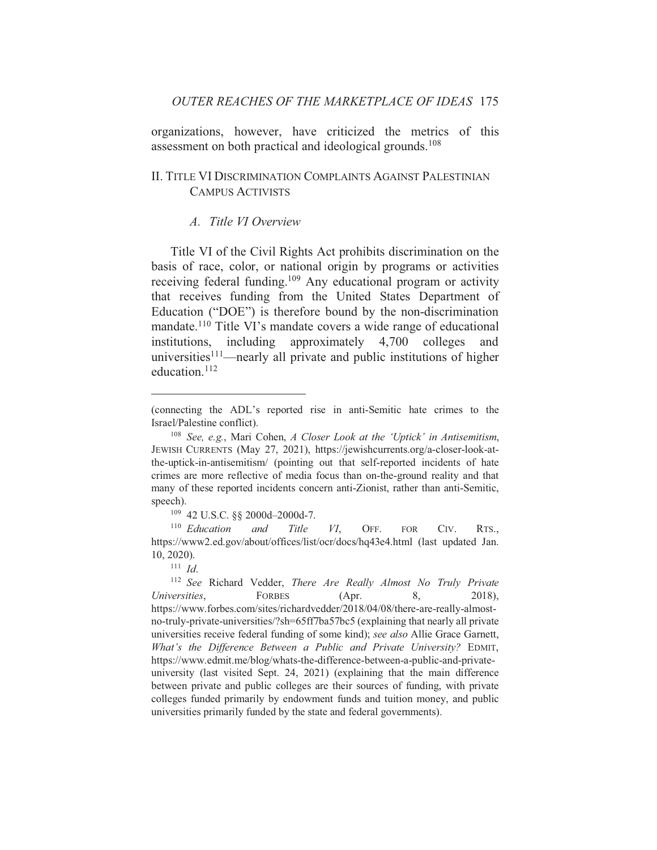organizations, however, have criticized the metrics of this assessment on both practical and ideological grounds.<sup>108</sup>

## II. TITLE VI DISCRIMINATION COMPLAINTS AGAINST PALESTINIAN **CAMPUS ACTIVISTS**

#### A Title VI Overview

Title VI of the Civil Rights Act prohibits discrimination on the basis of race, color, or national origin by programs or activities receiving federal funding.<sup>109</sup> Any educational program or activity that receives funding from the United States Department of Education ("DOE") is therefore bound by the non-discrimination mandate.<sup>110</sup> Title VI's mandate covers a wide range of educational institutions, including approximately  $4,700$ colleges and universities $111$ —nearly all private and public institutions of higher education.<sup>112</sup>

<sup>109</sup> 42 U.S.C. §§ 2000d-2000d-7.

 $110$  Education and Title VI, OFF. **FOR** CIV. RTS., https://www2.ed.gov/about/offices/list/ocr/docs/hq43e4.html (last updated Jan.  $10, 2020$ ).

 $111$  *Id.* 

<sup>112</sup> See Richard Vedder, There Are Really Almost No Truly Private Universities. **FORBES** (Apr. 8. 2018). https://www.forbes.com/sites/richardvedder/2018/04/08/there-are-really-almostno-truly-private-universities/?sh=65ff7ba57bc5 (explaining that nearly all private universities receive federal funding of some kind); see also Allie Grace Garnett, What's the Difference Between a Public and Private University? EDMIT, https://www.edmit.me/blog/whats-the-difference-between-a-public-and-privateuniversity (last visited Sept. 24, 2021) (explaining that the main difference between private and public colleges are their sources of funding, with private colleges funded primarily by endowment funds and tuition money, and public universities primarily funded by the state and federal governments).

<sup>(</sup>connecting the ADL's reported rise in anti-Semitic hate crimes to the Israel/Palestine conflict).

<sup>&</sup>lt;sup>108</sup> See, e.g., Mari Cohen, A Closer Look at the 'Uptick' in Antisemitism, JEWISH CURRENTS (May 27, 2021), https://jewishcurrents.org/a-closer-look-atthe-uptick-in-antisemitism/ (pointing out that self-reported incidents of hate crimes are more reflective of media focus than on-the-ground reality and that many of these reported incidents concern anti-Zionist, rather than anti-Semitic, speech).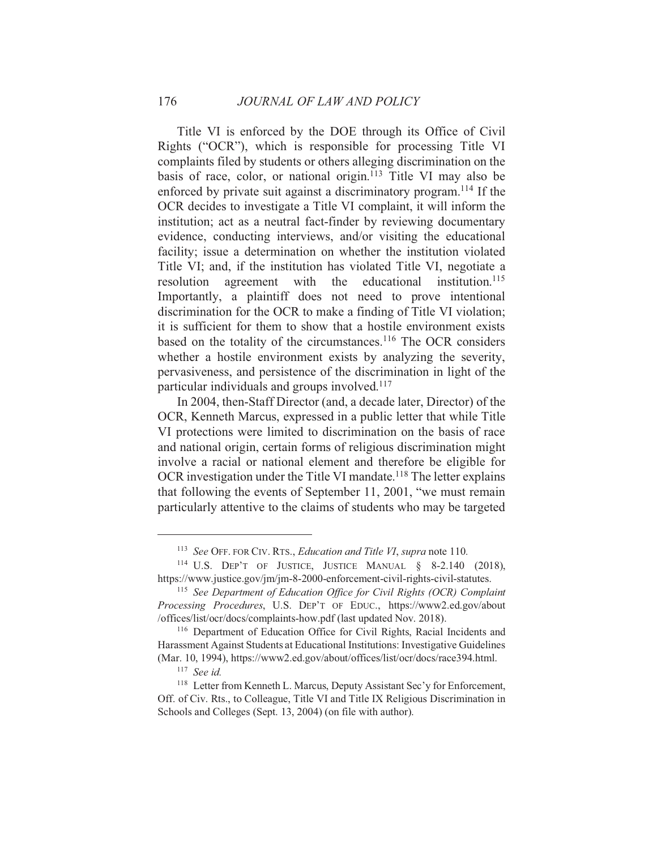Title VI is enforced by the DOE through its Office of Civil Rights ("OCR"), which is responsible for processing Title VI complaints filed by students or others alleging discrimination on the basis of race, color, or national origin.<sup>113</sup> Title VI may also be enforced by private suit against a discriminatory program.<sup>114</sup> If the OCR decides to investigate a Title VI complaint, it will inform the institution; act as a neutral fact-finder by reviewing documentary evidence, conducting interviews, and/or visiting the educational facility; issue a determination on whether the institution violated Title VI; and, if the institution has violated Title VI, negotiate a resolution agreement with the educational institution.<sup>115</sup> Importantly, a plaintiff does not need to prove intentional discrimination for the OCR to make a finding of Title VI violation; it is sufficient for them to show that a hostile environment exists based on the totality of the circumstances.<sup>116</sup> The OCR considers whether a hostile environment exists by analyzing the severity, pervasiveness, and persistence of the discrimination in light of the particular individuals and groups involved.<sup>117</sup>

In 2004, then-Staff Director (and, a decade later, Director) of the OCR, Kenneth Marcus, expressed in a public letter that while Title VI protections were limited to discrimination on the basis of race and national origin, certain forms of religious discrimination might involve a racial or national element and therefore be eligible for OCR investigation under the Title VI mandate.<sup>118</sup> The letter explains that following the events of September 11, 2001, "we must remain particularly attentive to the claims of students who may be targeted

176

<sup>&</sup>lt;sup>113</sup> See OFF. FOR CIV. RTS., Education and Title VI, supra note 110.

<sup>&</sup>lt;sup>114</sup> U.S. DEP'T OF JUSTICE, JUSTICE MANUAL  $§$  8-2.140 (2018), https://www.justice.gov/jm/jm-8-2000-enforcement-civil-rights-civil-statutes.

<sup>&</sup>lt;sup>115</sup> See Department of Education Office for Civil Rights (OCR) Complaint Processing Procedures, U.S. DEP'T OF EDUC., https://www2.ed.gov/about /offices/list/ocr/docs/complaints-how.pdf (last updated Nov. 2018).

<sup>&</sup>lt;sup>116</sup> Department of Education Office for Civil Rights, Racial Incidents and Harassment Against Students at Educational Institutions: Investigative Guidelines (Mar. 10, 1994), https://www2.ed.gov/about/offices/list/ocr/docs/race394.html.

 $117$  See id.

<sup>&</sup>lt;sup>118</sup> Letter from Kenneth L. Marcus, Deputy Assistant Sec'y for Enforcement, Off. of Civ. Rts., to Colleague, Title VI and Title IX Religious Discrimination in Schools and Colleges (Sept. 13, 2004) (on file with author).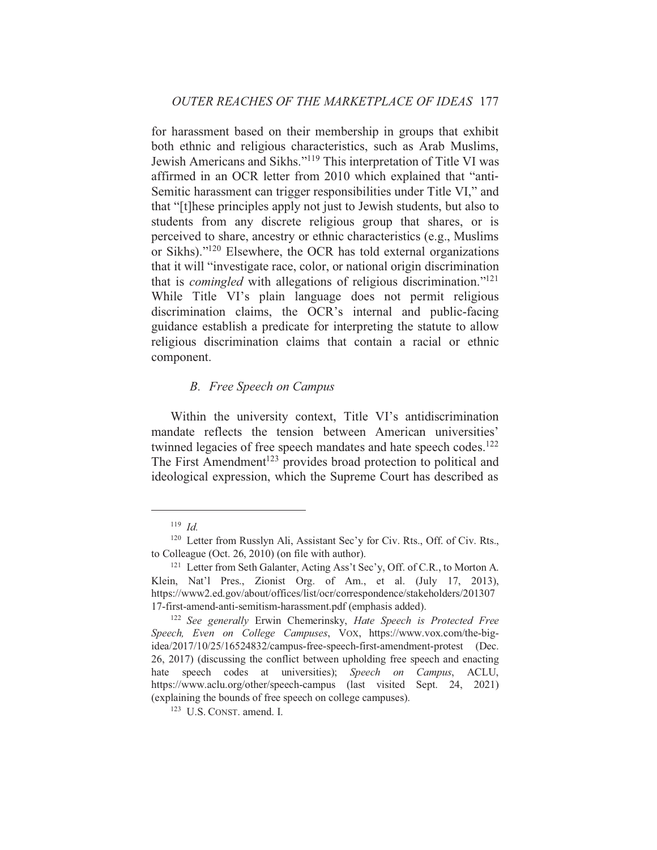for harassment based on their membership in groups that exhibit both ethnic and religious characteristics, such as Arab Muslims, Jewish Americans and Sikhs."<sup>119</sup> This interpretation of Title VI was affirmed in an OCR letter from 2010 which explained that "anti-Semitic harassment can trigger responsibilities under Title VI," and that "[t] hese principles apply not just to Jewish students, but also to students from any discrete religious group that shares, or is perceived to share, ancestry or ethnic characteristics (e.g., Muslims) or Sikhs)."<sup>120</sup> Elsewhere, the OCR has told external organizations that it will "investigate race, color, or national origin discrimination that is *comingled* with allegations of religious discrimination."<sup>121</sup> While Title VI's plain language does not permit religious discrimination claims, the OCR's internal and public-facing guidance establish a predicate for interpreting the statute to allow religious discrimination claims that contain a racial or ethnic component.

## **B.** Free Speech on Campus

Within the university context, Title VI's antidiscrimination mandate reflects the tension between American universities' twinned legacies of free speech mandates and hate speech codes.<sup>122</sup> The First Amendment<sup>123</sup> provides broad protection to political and ideological expression, which the Supreme Court has described as

 $119$  Id.

<sup>&</sup>lt;sup>120</sup> Letter from Russlyn Ali, Assistant Sec'y for Civ. Rts., Off. of Civ. Rts., to Colleague (Oct. 26, 2010) (on file with author).

<sup>&</sup>lt;sup>121</sup> Letter from Seth Galanter, Acting Ass't Sec'y, Off. of C.R., to Morton A. Klein, Nat'l Pres., Zionist Org. of Am., et al. (July 17, 2013), https://www2.ed.gov/about/offices/list/ocr/correspondence/stakeholders/201307 17-first-amend-anti-semitism-harassment.pdf (emphasis added).

<sup>&</sup>lt;sup>122</sup> See generally Erwin Chemerinsky, Hate Speech is Protected Free Speech, Even on College Campuses, VOX, https://www.vox.com/the-bigidea/2017/10/25/16524832/campus-free-speech-first-amendment-protest (Dec. 26, 2017) (discussing the conflict between upholding free speech and enacting hate speech codes at universities); Speech on Campus, ACLU, https://www.aclu.org/other/speech-campus (last visited Sept. 24, 2021) (explaining the bounds of free speech on college campuses).

 $123$  U.S. CONST, amend, I.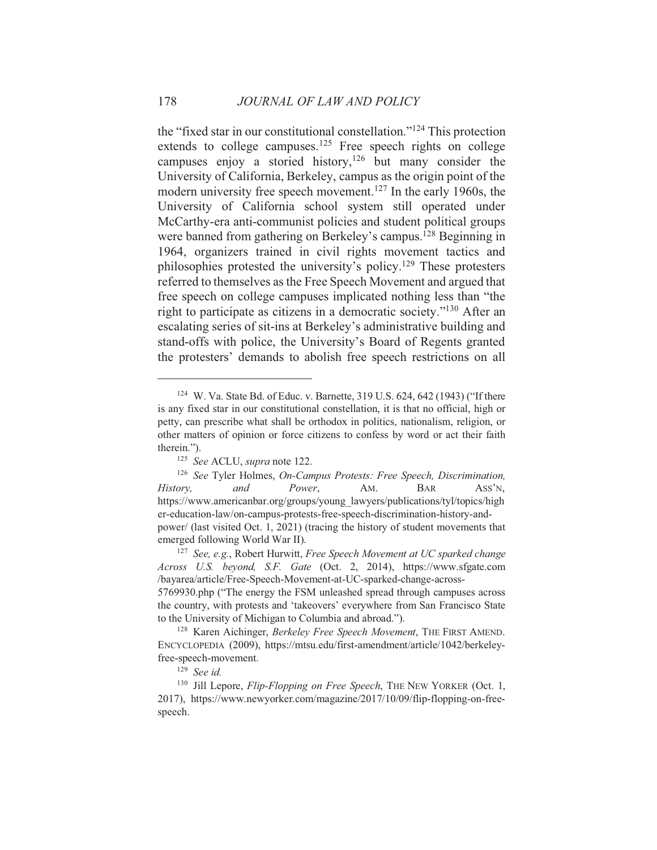the "fixed star in our constitutional constellation."<sup>124</sup> This protection extends to college campuses.<sup>125</sup> Free speech rights on college campuses enjoy a storied history,<sup>126</sup> but many consider the University of California, Berkeley, campus as the origin point of the modern university free speech movement.<sup>127</sup> In the early 1960s, the University of California school system still operated under McCarthy-era anti-communist policies and student political groups were banned from gathering on Berkeley's campus.<sup>128</sup> Beginning in 1964, organizers trained in civil rights movement tactics and philosophies protested the university's policy.<sup>129</sup> These protesters referred to themselves as the Free Speech Movement and argued that free speech on college campuses implicated nothing less than "the right to participate as citizens in a democratic society."<sup>130</sup> After an escalating series of sit-ins at Berkeley's administrative building and stand-offs with police, the University's Board of Regents granted the protesters' demands to abolish free speech restrictions on all

<sup>&</sup>lt;sup>124</sup> W. Va. State Bd. of Educ. v. Barnette, 319 U.S. 624, 642 (1943) ("If there is any fixed star in our constitutional constellation, it is that no official, high or petty, can prescribe what shall be orthodox in politics, nationalism, religion, or other matters of opinion or force citizens to confess by word or act their faith therein.").

<sup>&</sup>lt;sup>125</sup> See ACLU, supra note 122.

<sup>&</sup>lt;sup>126</sup> See Tyler Holmes, On-Campus Protests: Free Speech, Discrimination, History, and Power, AM. **BAR** ASS'N, https://www.americanbar.org/groups/young\_lawyers/publications/tyl/topics/high er-education-law/on-campus-protests-free-speech-discrimination-history-andpower/ (last visited Oct. 1, 2021) (tracing the history of student movements that emerged following World War II).

<sup>&</sup>lt;sup>127</sup> See, e.g., Robert Hurwitt, Free Speech Movement at UC sparked change Across U.S. beyond, S.F. Gate (Oct. 2, 2014), https://www.sfgate.com /bayarea/article/Free-Speech-Movement-at-UC-sparked-change-across-

<sup>5769930.</sup>php ("The energy the FSM unleashed spread through campuses across the country, with protests and 'takeovers' everywhere from San Francisco State to the University of Michigan to Columbia and abroad.").

<sup>&</sup>lt;sup>128</sup> Karen Aichinger, Berkeley Free Speech Movement, THE FIRST AMEND. ENCYCLOPEDIA (2009), https://mtsu.edu/first-amendment/article/1042/berkeleyfree-speech-movement.

 $129$  See id.

<sup>&</sup>lt;sup>130</sup> Jill Lepore, *Flip-Flopping on Free Speech*, THE NEW YORKER (Oct. 1, 2017), https://www.newyorker.com/magazine/2017/10/09/flip-flopping-on-freespeech.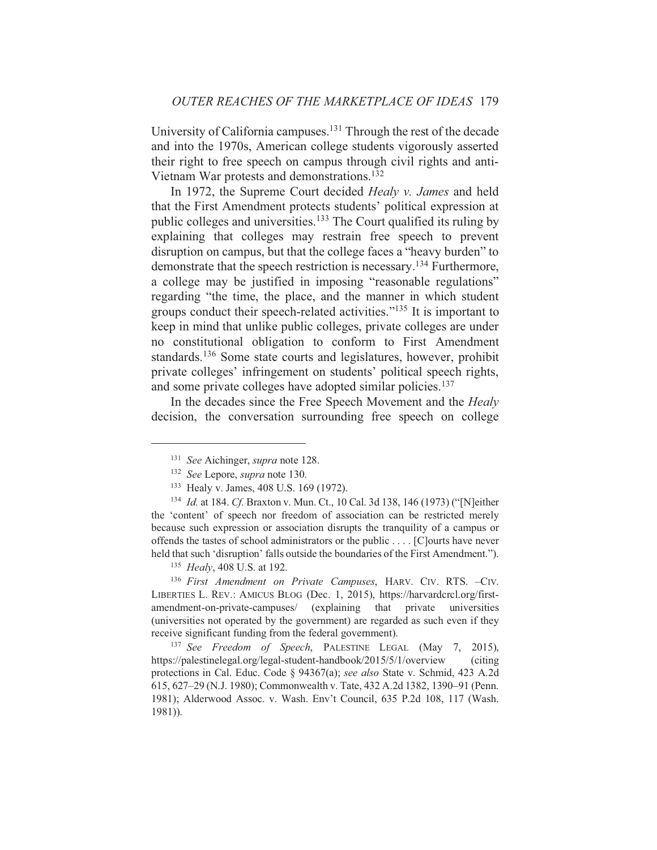University of California campuses.<sup>131</sup> Through the rest of the decade and into the 1970s, American college students vigorously asserted their right to free speech on campus through civil rights and anti-Vietnam War protests and demonstrations.<sup>132</sup>

In 1972, the Supreme Court decided Healy v. James and held that the First Amendment protects students' political expression at public colleges and universities.<sup>133</sup> The Court qualified its ruling by explaining that colleges may restrain free speech to prevent disruption on campus, but that the college faces a "heavy burden" to demonstrate that the speech restriction is necessary.<sup>134</sup> Furthermore, a college may be justified in imposing "reasonable regulations" regarding "the time, the place, and the manner in which student groups conduct their speech-related activities."<sup>135</sup> It is important to keep in mind that unlike public colleges, private colleges are under no constitutional obligation to conform to First Amendment standards.<sup>136</sup> Some state courts and legislatures, however, prohibit private colleges' infringement on students' political speech rights, and some private colleges have adopted similar policies.<sup>137</sup>

In the decades since the Free Speech Movement and the Healy decision, the conversation surrounding free speech on college

<sup>135</sup> Healy, 408 U.S. at 192.

<sup>136</sup> First Amendment on Private Campuses, HARV. CIV. RTS. -CIV. LIBERTIES L. REV.: AMICUS BLOG (Dec. 1, 2015), https://harvardcrcl.org/firstamendment-on-private-campuses/ (explaining that private universities (universities not operated by the government) are regarded as such even if they receive significant funding from the federal government).

<sup>137</sup> See Freedom of Speech, PALESTINE LEGAL (May 7, 2015), https://palestinelegal.org/legal-student-handbook/2015/5/1/overview *(citing)* protections in Cal. Educ. Code § 94367(a); see also State v. Schmid, 423 A.2d 615, 627–29 (N.J. 1980); Commonwealth v. Tate, 432 A.2d 1382, 1390–91 (Penn. 1981); Alderwood Assoc. v. Wash. Env't Council, 635 P.2d 108, 117 (Wash.  $1981$ ).

<sup>&</sup>lt;sup>131</sup> See Aichinger, *supra* note 128.

<sup>&</sup>lt;sup>132</sup> See Lepore, supra note 130.

<sup>&</sup>lt;sup>133</sup> Healy v. James, 408 U.S. 169 (1972).

<sup>&</sup>lt;sup>134</sup> Id. at 184. Cf. Braxton v. Mun. Ct., 10 Cal. 3d 138, 146 (1973) ("[N]either the 'content' of speech nor freedom of association can be restricted merely because such expression or association disrupts the tranquility of a campus or offends the tastes of school administrators or the public ... [C] ourts have never held that such 'disruption' falls outside the boundaries of the First Amendment.").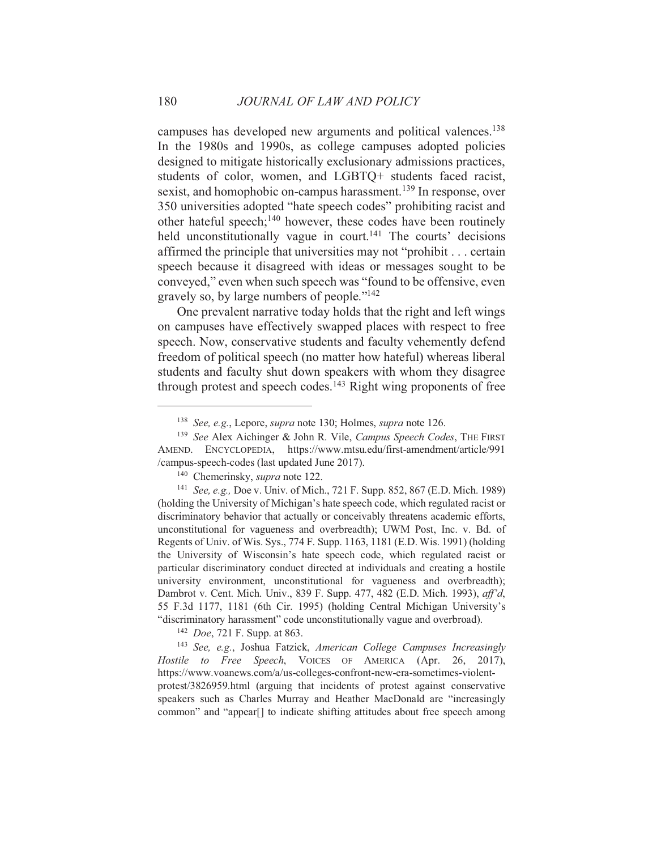campuses has developed new arguments and political valences.<sup>138</sup> In the 1980s and 1990s, as college campuses adopted policies designed to mitigate historically exclusionary admissions practices, students of color, women, and LGBTQ+ students faced racist, sexist, and homophobic on-campus harassment.<sup>139</sup> In response, over 350 universities adopted "hate speech codes" prohibiting racist and other hateful speech;<sup>140</sup> however, these codes have been routinely held unconstitutionally vague in court.<sup>141</sup> The courts' decisions affirmed the principle that universities may not "prohibit . . . certain speech because it disagreed with ideas or messages sought to be conveyed," even when such speech was "found to be offensive, even gravely so, by large numbers of people."<sup>142</sup>

One prevalent narrative today holds that the right and left wings on campuses have effectively swapped places with respect to free speech. Now, conservative students and faculty vehemently defend freedom of political speech (no matter how hateful) whereas liberal students and faculty shut down speakers with whom they disagree through protest and speech codes.<sup>143</sup> Right wing proponents of free

<sup>140</sup> Chemerinsky, *supra* note 122.

<sup>141</sup> See, e.g., Doe v. Univ. of Mich., 721 F. Supp. 852, 867 (E.D. Mich. 1989) (holding the University of Michigan's hate speech code, which regulated racist or discriminatory behavior that actually or conceivably threatens academic efforts, unconstitutional for vagueness and overbreadth); UWM Post, Inc. v. Bd. of Regents of Univ. of Wis. Sys., 774 F. Supp. 1163, 1181 (E.D. Wis. 1991) (holding the University of Wisconsin's hate speech code, which regulated racist or particular discriminatory conduct directed at individuals and creating a hostile university environment, unconstitutional for vagueness and overbreadth); Dambrot v. Cent. Mich. Univ., 839 F. Supp. 477, 482 (E.D. Mich. 1993), aff'd, 55 F.3d 1177, 1181 (6th Cir. 1995) (holding Central Michigan University's "discriminatory harassment" code unconstitutionally vague and overbroad).

<sup>142</sup> *Doe*, 721 F. Supp. at 863.

<sup>143</sup> See, e.g., Joshua Fatzick, American College Campuses Increasingly Hostile to Free Speech, VOICES OF AMERICA (Apr. 26, 2017), https://www.voanews.com/a/us-colleges-confront-new-era-sometimes-violentprotest/3826959.html (arguing that incidents of protest against conservative speakers such as Charles Murray and Heather MacDonald are "increasingly common" and "appear<sup>[]</sup> to indicate shifting attitudes about free speech among

180

<sup>&</sup>lt;sup>138</sup> See, e.g., Lepore, *supra* note 130; Holmes, *supra* note 126.

<sup>&</sup>lt;sup>139</sup> See Alex Aichinger & John R. Vile, *Campus Speech Codes*, THE FIRST AMEND. ENCYCLOPEDIA, https://www.mtsu.edu/first-amendment/article/991 /campus-speech-codes (last updated June 2017).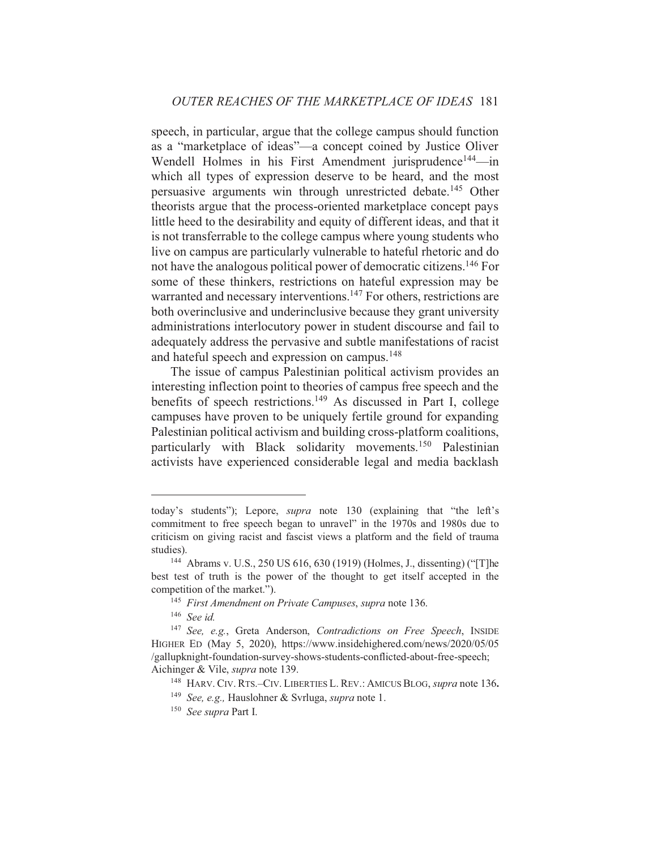speech, in particular, argue that the college campus should function as a "marketplace of ideas"—a concept coined by Justice Oliver Wendell Holmes in his First Amendment jurisprudence<sup>144</sup>—in which all types of expression deserve to be heard, and the most persuasive arguments win through unrestricted debate.<sup>145</sup> Other theorists argue that the process-oriented marketplace concept pays little heed to the desirability and equity of different ideas, and that it is not transferrable to the college campus where young students who live on campus are particularly vulnerable to hateful rhetoric and do not have the analogous political power of democratic citizens.<sup>146</sup> For some of these thinkers, restrictions on hateful expression may be warranted and necessary interventions.<sup>147</sup> For others, restrictions are both overinclusive and underinclusive because they grant university administrations interlocutory power in student discourse and fail to adequately address the pervasive and subtle manifestations of racist and hateful speech and expression on campus.<sup>148</sup>

The issue of campus Palestinian political activism provides an interesting inflection point to theories of campus free speech and the benefits of speech restrictions.<sup>149</sup> As discussed in Part I, college campuses have proven to be uniquely fertile ground for expanding Palestinian political activism and building cross-platform coalitions, particularly with Black solidarity movements.<sup>150</sup> Palestinian activists have experienced considerable legal and media backlash

today's students"); Lepore, *supra* note 130 (explaining that "the left's commitment to free speech began to unravel" in the 1970s and 1980s due to criticism on giving racist and fascist views a platform and the field of trauma studies).

<sup>&</sup>lt;sup>144</sup> Abrams v. U.S., 250 US 616, 630 (1919) (Holmes, J., dissenting) ("[T]he best test of truth is the power of the thought to get itself accepted in the competition of the market.").

<sup>&</sup>lt;sup>145</sup> First Amendment on Private Campuses, supra note 136.

 $146$  See id.

<sup>&</sup>lt;sup>147</sup> See, e.g., Greta Anderson, Contradictions on Free Speech, INSIDE HIGHER ED (May 5, 2020), https://www.insidehighered.com/news/2020/05/05 /gallupknight-foundation-survey-shows-students-conflicted-about-free-speech; Aichinger & Vile, *supra* note 139.

<sup>&</sup>lt;sup>148</sup> HARV. CIV. RTS.-CIV. LIBERTIES L. REV.: AMICUS BLOG, supra note 136.

<sup>&</sup>lt;sup>149</sup> See, e.g., Hauslohner & Svrluga, *supra* note 1.

 $150$  See supra Part I.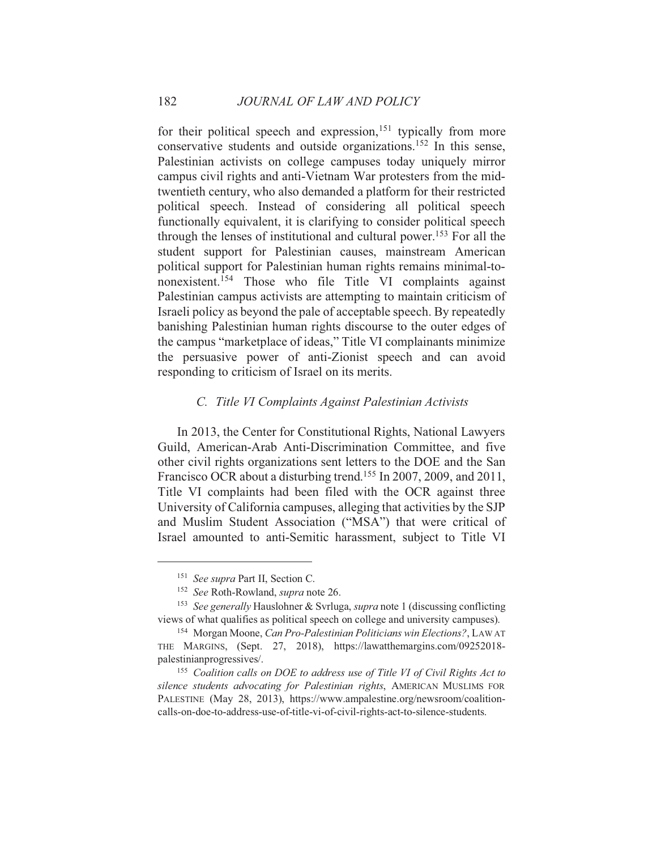for their political speech and expression,  $151$  typically from more conservative students and outside organizations.<sup>152</sup> In this sense, Palestinian activists on college campuses today uniquely mirror campus civil rights and anti-Vietnam War protesters from the midtwentieth century, who also demanded a platform for their restricted political speech. Instead of considering all political speech functionally equivalent, it is clarifying to consider political speech through the lenses of institutional and cultural power.<sup>153</sup> For all the student support for Palestinian causes, mainstream American political support for Palestinian human rights remains minimal-tononexistent.<sup>154</sup> Those who file Title VI complaints against Palestinian campus activists are attempting to maintain criticism of Israeli policy as beyond the pale of acceptable speech. By repeatedly banishing Palestinian human rights discourse to the outer edges of the campus "marketplace of ideas," Title VI complainants minimize the persuasive power of anti-Zionist speech and can avoid responding to criticism of Israel on its merits.

## C. Title VI Complaints Against Palestinian Activists

In 2013, the Center for Constitutional Rights, National Lawyers Guild, American-Arab Anti-Discrimination Committee, and five other civil rights organizations sent letters to the DOE and the San Francisco OCR about a disturbing trend.<sup>155</sup> In 2007, 2009, and 2011, Title VI complaints had been filed with the OCR against three University of California campuses, alleging that activities by the SJP and Muslim Student Association ("MSA") that were critical of Israel amounted to anti-Semitic harassment, subject to Title VI

<sup>&</sup>lt;sup>151</sup> See supra Part II, Section C.

<sup>&</sup>lt;sup>152</sup> See Roth-Rowland, *supra* note 26.

<sup>&</sup>lt;sup>153</sup> See generally Hauslohner & Svrluga, *supra* note 1 (discussing conflicting views of what qualifies as political speech on college and university campuses).

<sup>&</sup>lt;sup>154</sup> Morgan Moone, *Can Pro-Palestinian Politicians win Elections*?, LAW AT THE MARGINS, (Sept. 27, 2018), https://lawatthemargins.com/09252018palestinianprogressives/.

<sup>&</sup>lt;sup>155</sup> Coalition calls on DOE to address use of Title VI of Civil Rights Act to silence students advocating for Palestinian rights, AMERICAN MUSLIMS FOR PALESTINE (May 28, 2013), https://www.ampalestine.org/newsroom/coalitioncalls-on-doe-to-address-use-of-title-vi-of-civil-rights-act-to-silence-students.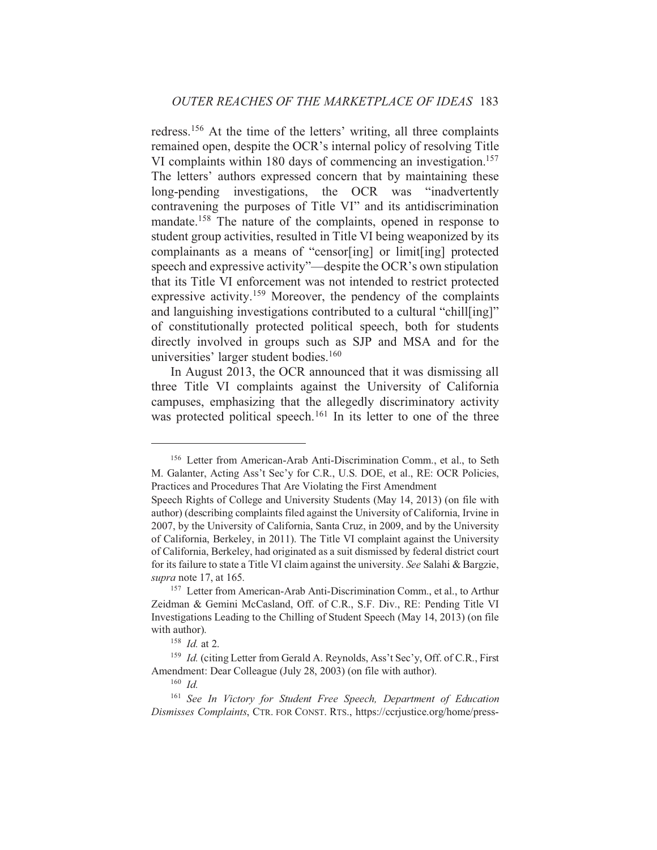redress.<sup>156</sup> At the time of the letters' writing, all three complaints remained open, despite the OCR's internal policy of resolving Title VI complaints within 180 days of commencing an investigation.<sup>157</sup> The letters' authors expressed concern that by maintaining these long-pending investigations, the OCR was "inadvertently contravening the purposes of Title VI" and its antidiscrimination mandate.<sup>158</sup> The nature of the complaints, opened in response to student group activities, resulted in Title VI being weaponized by its complainants as a means of "censor[ing] or limit[ing] protected speech and expressive activity"—despite the OCR's own stipulation that its Title VI enforcement was not intended to restrict protected expressive activity.<sup>159</sup> Moreover, the pendency of the complaints and languishing investigations contributed to a cultural "chill[ing]" of constitutionally protected political speech, both for students directly involved in groups such as SJP and MSA and for the universities' larger student bodies.<sup>160</sup>

In August 2013, the OCR announced that it was dismissing all three Title VI complaints against the University of California campuses, emphasizing that the allegedly discriminatory activity was protected political speech.<sup>161</sup> In its letter to one of the three

<sup>&</sup>lt;sup>156</sup> Letter from American-Arab Anti-Discrimination Comm., et al., to Seth M. Galanter, Acting Ass't Sec'y for C.R., U.S. DOE, et al., RE: OCR Policies, Practices and Procedures That Are Violating the First Amendment

Speech Rights of College and University Students (May 14, 2013) (on file with author) (describing complaints filed against the University of California, Irvine in 2007, by the University of California, Santa Cruz, in 2009, and by the University of California, Berkeley, in 2011). The Title VI complaint against the University of California, Berkeley, had originated as a suit dismissed by federal district court for its failure to state a Title VI claim against the university. See Salahi & Bargzie, supra note 17, at 165.

<sup>&</sup>lt;sup>157</sup> Letter from American-Arab Anti-Discrimination Comm., et al., to Arthur Zeidman & Gemini McCasland, Off. of C.R., S.F. Div., RE: Pending Title VI Investigations Leading to the Chilling of Student Speech (May 14, 2013) (on file with author).

 $158$  *Id.* at 2.

<sup>&</sup>lt;sup>159</sup> Id. (citing Letter from Gerald A. Reynolds, Ass't Sec'y, Off. of C.R., First Amendment: Dear Colleague (July 28, 2003) (on file with author).

 $160$  Id.

<sup>&</sup>lt;sup>161</sup> See In Victory for Student Free Speech, Department of Education Dismisses Complaints, CTR. FOR CONST. RTS., https://ccriustice.org/home/press-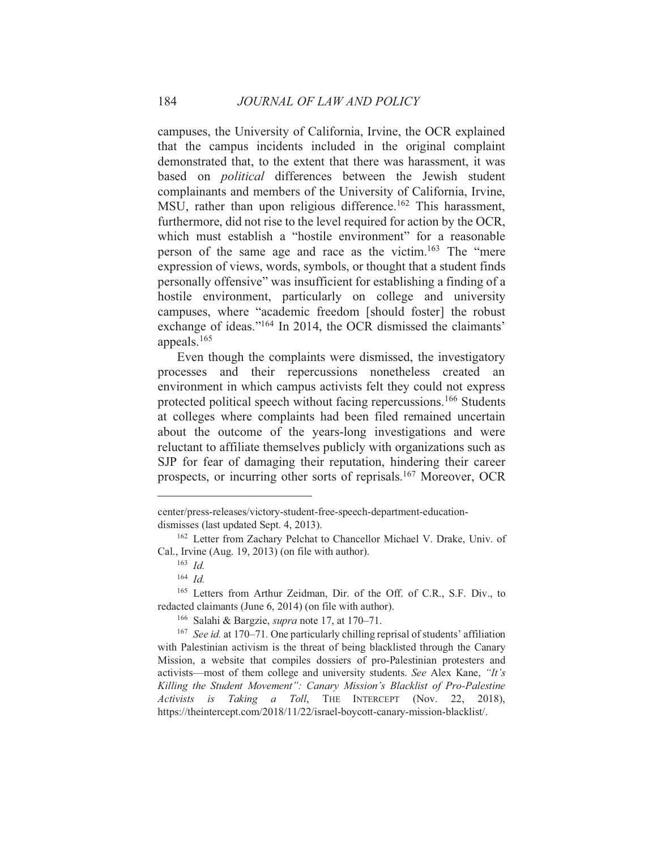campuses, the University of California, Irvine, the OCR explained that the campus incidents included in the original complaint demonstrated that, to the extent that there was harassment, it was based on *political* differences between the Jewish student complainants and members of the University of California, Irvine, MSU, rather than upon religious difference.<sup>162</sup> This harassment, furthermore, did not rise to the level required for action by the OCR, which must establish a "hostile environment" for a reasonable person of the same age and race as the victim.<sup>163</sup> The "mere" expression of views, words, symbols, or thought that a student finds personally offensive" was insufficient for establishing a finding of a hostile environment, particularly on college and university campuses, where "academic freedom [should foster] the robust exchange of ideas."<sup>164</sup> In 2014, the OCR dismissed the claimants' appeals. $165$ 

Even though the complaints were dismissed, the investigatory processes and their repercussions nonetheless created an environment in which campus activists felt they could not express protected political speech without facing repercussions.<sup>166</sup> Students at colleges where complaints had been filed remained uncertain about the outcome of the years-long investigations and were reluctant to affiliate themselves publicly with organizations such as SJP for fear of damaging their reputation, hindering their career prospects, or incurring other sorts of reprisals.<sup>167</sup> Moreover, OCR

center/press-releases/victory-student-free-speech-department-educationdismisses (last updated Sept. 4, 2013).

<sup>&</sup>lt;sup>162</sup> Letter from Zachary Pelchat to Chancellor Michael V. Drake, Univ. of Cal., Irvine (Aug. 19, 2013) (on file with author).

 $163$  *Id.* 

 $164$  Id

<sup>&</sup>lt;sup>165</sup> Letters from Arthur Zeidman, Dir. of the Off. of C.R., S.F. Div., to redacted claimants (June 6, 2014) (on file with author).

<sup>&</sup>lt;sup>166</sup> Salahi & Bargzie, *supra* note 17, at 170–71.

<sup>&</sup>lt;sup>167</sup> See id. at 170–71. One particularly chilling reprisal of students' affiliation with Palestinian activism is the threat of being blacklisted through the Canary Mission, a website that compiles dossiers of pro-Palestinian protesters and activists—most of them college and university students. See Alex Kane, "It's Killing the Student Movement": Canary Mission's Blacklist of Pro-Palestine Activists is Taking a Toll, THE INTERCEPT (Nov. 22, 2018), https://theintercept.com/2018/11/22/israel-boycott-canary-mission-blacklist/.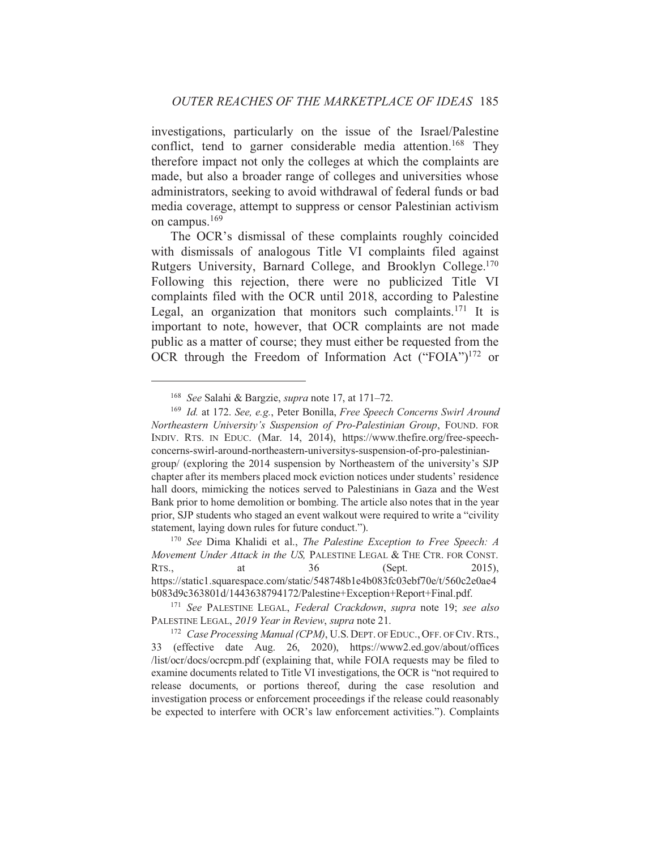investigations, particularly on the issue of the Israel/Palestine conflict, tend to garner considerable media attention.<sup>168</sup> They therefore impact not only the colleges at which the complaints are made, but also a broader range of colleges and universities whose administrators, seeking to avoid withdrawal of federal funds or bad media coverage, attempt to suppress or censor Palestinian activism on campus.  $169$ 

The OCR's dismissal of these complaints roughly coincided with dismissals of analogous Title VI complaints filed against Rutgers University, Barnard College, and Brooklyn College.<sup>170</sup> Following this rejection, there were no publicized Title VI complaints filed with the OCR until 2018, according to Palestine Legal, an organization that monitors such complaints.<sup>171</sup> It is important to note, however, that OCR complaints are not made public as a matter of course; they must either be requested from the OCR through the Freedom of Information Act ("FOIA") $172$  or

<sup>&</sup>lt;sup>168</sup> See Salahi & Bargzie, *supra* note 17, at 171–72.

<sup>&</sup>lt;sup>169</sup> Id. at 172. See, e.g., Peter Bonilla, Free Speech Concerns Swirl Around Northeastern University's Suspension of Pro-Palestinian Group, FOUND. FOR INDIV. RTS. IN EDUC. (Mar. 14, 2014), https://www.thefire.org/free-speechconcerns-swirl-around-northeastern-universitys-suspension-of-pro-palestiniangroup/ (exploring the 2014 suspension by Northeastern of the university's SJP chapter after its members placed mock eviction notices under students' residence hall doors, mimicking the notices served to Palestinians in Gaza and the West Bank prior to home demolition or bombing. The article also notes that in the year prior, SJP students who staged an event walkout were required to write a "civility" statement, laying down rules for future conduct.").

<sup>&</sup>lt;sup>170</sup> See Dima Khalidi et al., The Palestine Exception to Free Speech: A Movement Under Attack in the US, PALESTINE LEGAL & THE CTR. FOR CONST. RTS., at 36 (Sept.  $2015$ ), https://static1.squarespace.com/static/548748b1e4b083fc03ebf70e/t/560c2e0ae4 b083d9c363801d/1443638794172/Palestine+Exception+Report+Final.pdf.

<sup>&</sup>lt;sup>171</sup> See PALESTINE LEGAL, Federal Crackdown, supra note 19; see also PALESTINE LEGAL, 2019 Year in Review, supra note 21.

<sup>&</sup>lt;sup>172</sup> Case Processing Manual (CPM), U.S. DEPT. OF EDUC., OFF. OF CIV. RTS., 33 (effective date Aug. 26, 2020), https://www2.ed.gov/about/offices list/ocr/docs/ocrepm.pdf (explaining that, while FOIA requests may be filed to examine documents related to Title VI investigations, the OCR is "not required to release documents, or portions thereof, during the case resolution and investigation process or enforcement proceedings if the release could reasonably be expected to interfere with OCR's law enforcement activities."). Complaints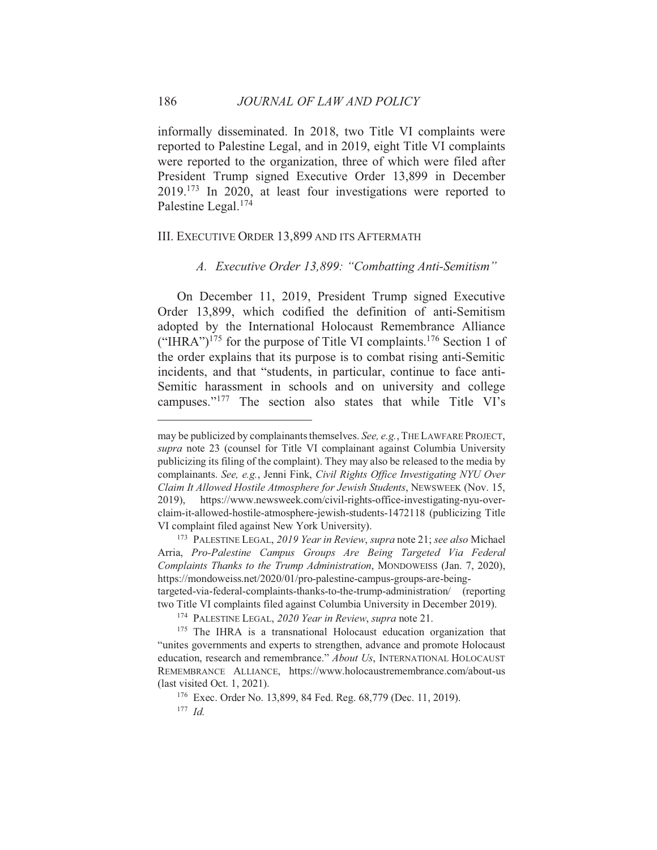informally disseminated. In 2018, two Title VI complaints were reported to Palestine Legal, and in 2019, eight Title VI complaints were reported to the organization, three of which were filed after President Trump signed Executive Order 13,899 in December  $2019$ <sup>173</sup> In 2020, at least four investigations were reported to Palestine Legal.<sup>174</sup>

### III. EXECUTIVE ORDER 13,899 AND ITS AFTERMATH

A. Executive Order 13,899: "Combatting Anti-Semitism"

On December 11, 2019, President Trump signed Executive Order 13,899, which codified the definition of anti-Semitism adopted by the International Holocaust Remembrance Alliance ("IHRA")<sup>175</sup> for the purpose of Title VI complaints.<sup>176</sup> Section 1 of the order explains that its purpose is to combat rising anti-Semitic incidents, and that "students, in particular, continue to face anti-Semitic harassment in schools and on university and college campuses."<sup>177</sup> The section also states that while Title VI's

may be publicized by complainants themselves. See, e.g., THE LAWFARE PROJECT, supra note 23 (counsel for Title VI complainant against Columbia University publicizing its filing of the complaint). They may also be released to the media by complainants. See, e.g., Jenni Fink, Civil Rights Office Investigating NYU Over Claim It Allowed Hostile Atmosphere for Jewish Students, NEWSWEEK (Nov. 15, 2019), https://www.newsweek.com/civil-rights-office-investigating-nyu-overclaim-it-allowed-hostile-atmosphere-jewish-students-1472118 (publicizing Title VI complaint filed against New York University).

<sup>&</sup>lt;sup>173</sup> PALESTINE LEGAL, 2019 Year in Review, supra note 21; see also Michael Arria, Pro-Palestine Campus Groups Are Being Targeted Via Federal Complaints Thanks to the Trump Administration, MONDOWEISS (Jan. 7, 2020), https://mondoweiss.net/2020/01/pro-palestine-campus-groups-are-beingtargeted-via-federal-complaints-thanks-to-the-trump-administration/ (reporting

two Title VI complaints filed against Columbia University in December 2019).

<sup>&</sup>lt;sup>174</sup> PALESTINE LEGAL, 2020 Year in Review, supra note 21.

<sup>&</sup>lt;sup>175</sup> The IHRA is a transnational Holocaust education organization that "unites governments and experts to strengthen, advance and promote Holocaust education, research and remembrance." About Us, INTERNATIONAL HOLOCAUST REMEMBRANCE ALLIANCE, https://www.holocaustremembrance.com/about-us (last visited Oct.  $1, 2021$ ).

<sup>&</sup>lt;sup>176</sup> Exec. Order No. 13,899, 84 Fed. Reg. 68,779 (Dec. 11, 2019).

 $177$  Id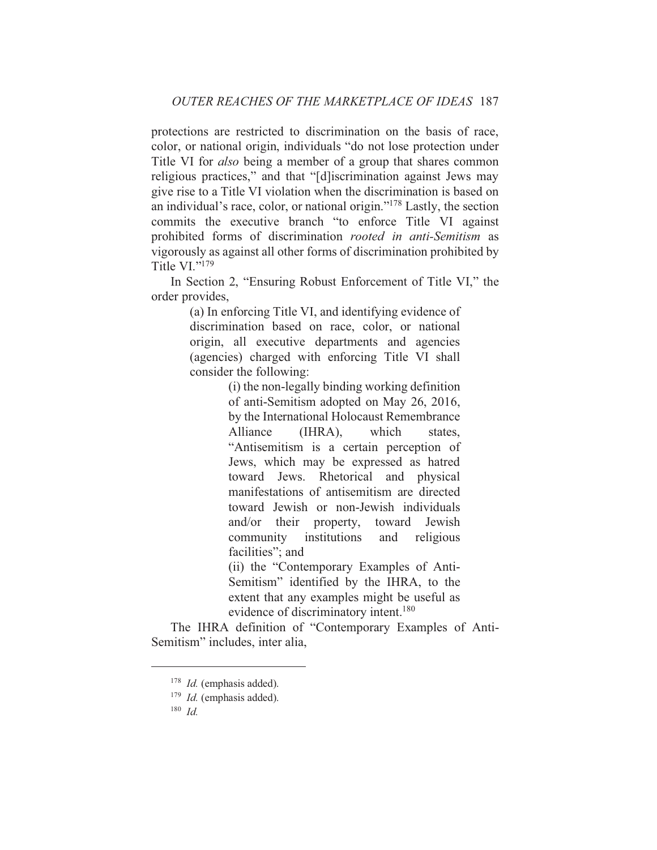protections are restricted to discrimination on the basis of race, color, or national origin, individuals "do not lose protection under Title VI for *also* being a member of a group that shares common religious practices," and that "[d]iscrimination against Jews may give rise to a Title VI violation when the discrimination is based on an individual's race, color, or national origin."<sup>178</sup> Lastly, the section commits the executive branch "to enforce Title VI against prohibited forms of discrimination *rooted in anti-Semitism* as vigorously as against all other forms of discrimination prohibited by Title  $VI.^{"179}$ 

In Section 2, "Ensuring Robust Enforcement of Title VI," the order provides,

> (a) In enforcing Title VI, and identifying evidence of discrimination based on race, color, or national origin, all executive departments and agencies (agencies) charged with enforcing Title VI shall consider the following:

> > (i) the non-legally binding working definition of anti-Semitism adopted on May 26, 2016, by the International Holocaust Remembrance Alliance  $(HIRA)$ , which states. "Antisemitism is a certain perception of Jews, which may be expressed as hatred toward Jews. Rhetorical and physical manifestations of antisemitism are directed toward Jewish or non-Jewish individuals and/or their property, toward Jewish community institutions and religious facilities"; and

> > (ii) the "Contemporary Examples of Anti-Semitism" identified by the IHRA, to the extent that any examples might be useful as evidence of discriminatory intent.<sup>180</sup>

The IHRA definition of "Contemporary Examples of Anti-Semitism" includes, inter alia,

 $178$  *Id.* (emphasis added).

 $179$  *Id.* (emphasis added).

 $180$  Id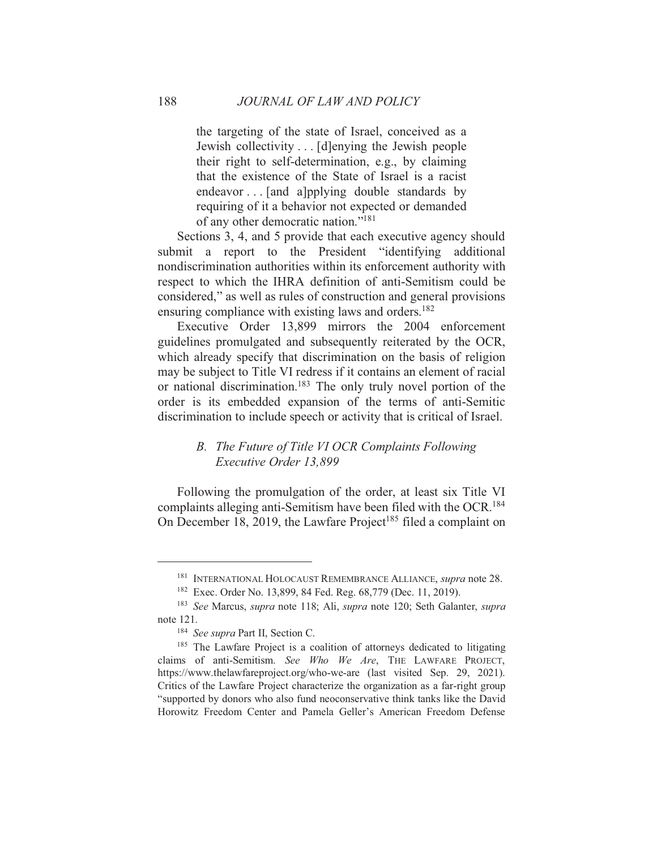the targeting of the state of Israel, conceived as a Jewish collectivity . . . [d]enying the Jewish people their right to self-determination, e.g., by claiming that the existence of the State of Israel is a racist endeavor... [and a]pplying double standards by requiring of it a behavior not expected or demanded of any other democratic nation."<sup>181</sup>

Sections 3, 4, and 5 provide that each executive agency should submit a report to the President "identifying additional nondiscrimination authorities within its enforcement authority with respect to which the IHRA definition of anti-Semitism could be considered," as well as rules of construction and general provisions ensuring compliance with existing laws and orders.<sup>182</sup>

Executive Order 13,899 mirrors the 2004 enforcement guidelines promulgated and subsequently reiterated by the OCR, which already specify that discrimination on the basis of religion may be subject to Title VI redress if it contains an element of racial or national discrimination.<sup>183</sup> The only truly novel portion of the order is its embedded expansion of the terms of anti-Semitic discrimination to include speech or activity that is critical of Israel.

## B. The Future of Title VI OCR Complaints Following Executive Order 13.899

Following the promulgation of the order, at least six Title VI complaints alleging anti-Semitism have been filed with the OCR.<sup>184</sup> On December 18, 2019, the Lawfare Project<sup>185</sup> filed a complaint on

188

<sup>&</sup>lt;sup>181</sup> INTERNATIONAL HOLOCAUST REMEMBRANCE ALLIANCE, *supra* note 28.

<sup>&</sup>lt;sup>182</sup> Exec. Order No. 13,899, 84 Fed. Reg. 68,779 (Dec. 11, 2019).

<sup>&</sup>lt;sup>183</sup> See Marcus, *supra* note 118; Ali, *supra* note 120; Seth Galanter, *supra* note 121.

<sup>&</sup>lt;sup>184</sup> See supra Part II, Section C.

<sup>&</sup>lt;sup>185</sup> The Lawfare Project is a coalition of attorneys dedicated to litigating claims of anti-Semitism. See Who We Are, THE LAWFARE PROJECT, https://www.thelawfareproject.org/who-we-are (last visited Sep. 29, 2021). Critics of the Lawfare Project characterize the organization as a far-right group "supported by donors who also fund neoconservative think tanks like the David Horowitz Freedom Center and Pamela Geller's American Freedom Defense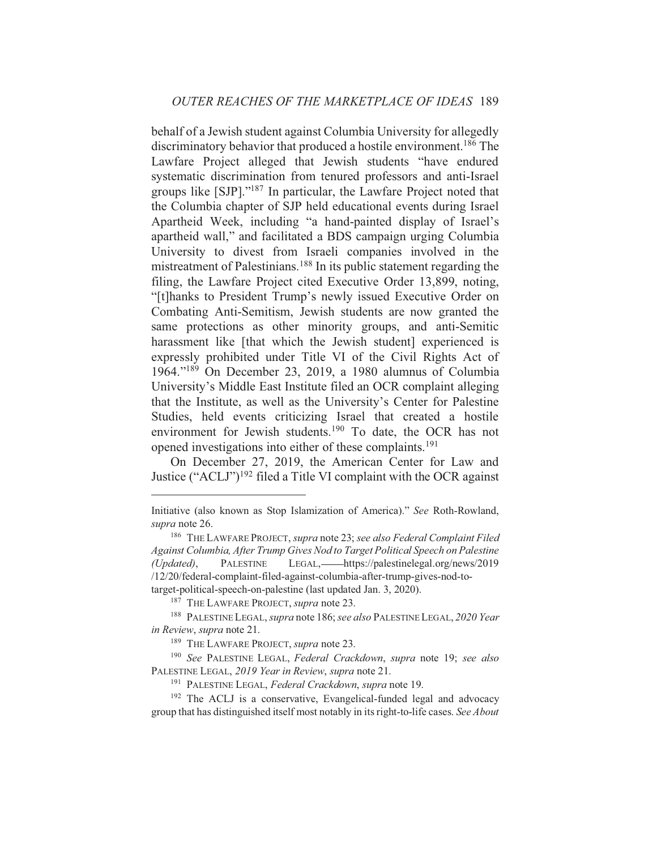behalf of a Jewish student against Columbia University for allegedly discriminatory behavior that produced a hostile environment.<sup>186</sup> The Lawfare Project alleged that Jewish students "have endured systematic discrimination from tenured professors and anti-Israel groups like [SJP]."<sup>187</sup> In particular, the Lawfare Project noted that the Columbia chapter of SJP held educational events during Israel Apartheid Week, including "a hand-painted display of Israel's apartheid wall," and facilitated a BDS campaign urging Columbia University to divest from Israeli companies involved in the mistreatment of Palestinians.<sup>188</sup> In its public statement regarding the filing, the Lawfare Project cited Executive Order 13,899, noting, "[t]hanks to President Trump's newly issued Executive Order on Combating Anti-Semitism, Jewish students are now granted the same protections as other minority groups, and anti-Semitic harassment like [that which the Jewish student] experienced is expressly prohibited under Title VI of the Civil Rights Act of 1964."<sup>189</sup> On December 23, 2019, a 1980 alumnus of Columbia University's Middle East Institute filed an OCR complaint alleging that the Institute, as well as the University's Center for Palestine Studies, held events criticizing Israel that created a hostile environment for Jewish students.<sup>190</sup> To date, the OCR has not opened investigations into either of these complaints.<sup>191</sup>

On December 27, 2019, the American Center for Law and Justice ("ACLJ")<sup>192</sup> filed a Title VI complaint with the OCR against

<sup>187</sup> THE LAWFARE PROJECT, supra note 23.

Initiative (also known as Stop Islamization of America)." See Roth-Rowland, supra note 26.

<sup>&</sup>lt;sup>186</sup> THE LAWFARE PROJECT, supra note 23; see also Federal Complaint Filed Against Columbia, After Trump Gives Nod to Target Political Speech on Palestine (Undated). **PALESTINE** LEGAL,——https://palestinelegal.org/news/2019 /12/20/federal-complaint-filed-against-columbia-after-trump-gives-nod-totarget-political-speech-on-palestine (last updated Jan. 3, 2020).

<sup>&</sup>lt;sup>188</sup> PALESTINE LEGAL, *supra* note 186; see also PALESTINE LEGAL, 2020 Year in Review, supra note 21.

<sup>&</sup>lt;sup>189</sup> THE LAWFARE PROJECT, *supra* note 23.

<sup>&</sup>lt;sup>190</sup> See PALESTINE LEGAL, Federal Crackdown, supra note 19; see also PALESTINE LEGAL, 2019 Year in Review, supra note 21.

<sup>&</sup>lt;sup>191</sup> PALESTINE LEGAL, Federal Crackdown, supra note 19.

<sup>&</sup>lt;sup>192</sup> The ACLJ is a conservative, Evangelical-funded legal and advocacy group that has distinguished itself most notably in its right-to-life cases. See About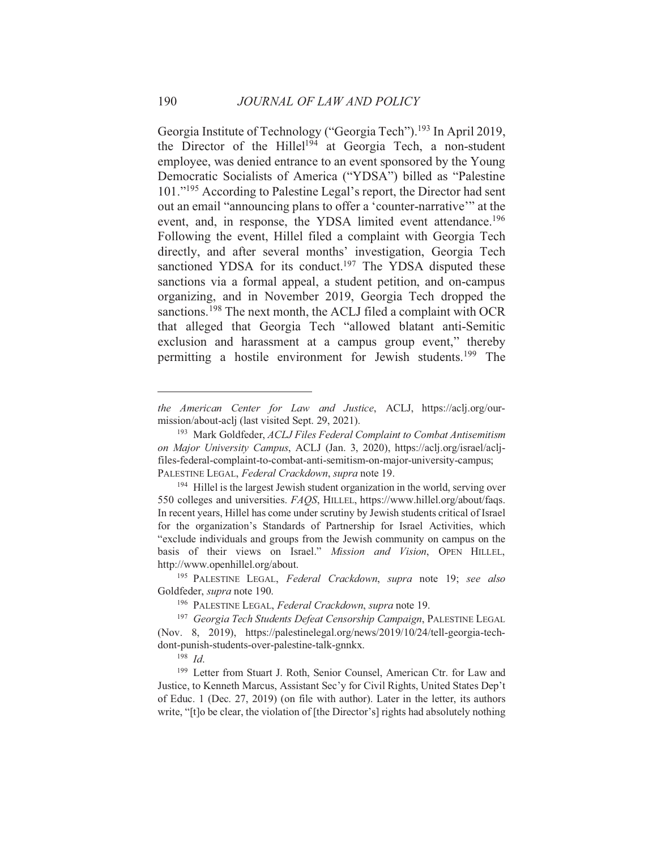Georgia Institute of Technology ("Georgia Tech").<sup>193</sup> In April 2019, the Director of the Hillel<sup>194</sup> at Georgia Tech, a non-student employee, was denied entrance to an event sponsored by the Young Democratic Socialists of America ("YDSA") billed as "Palestine 101."<sup>195</sup> According to Palestine Legal's report, the Director had sent out an email "announcing plans to offer a 'counter-narrative'" at the event, and, in response, the YDSA limited event attendance.<sup>196</sup> Following the event, Hillel filed a complaint with Georgia Tech directly, and after several months' investigation, Georgia Tech sanctioned YDSA for its conduct.<sup>197</sup> The YDSA disputed these sanctions via a formal appeal, a student petition, and on-campus organizing, and in November 2019, Georgia Tech dropped the sanctions.<sup>198</sup> The next month, the ACLJ filed a complaint with OCR that alleged that Georgia Tech "allowed blatant anti-Semitic exclusion and harassment at a campus group event," thereby permitting a hostile environment for Jewish students.<sup>199</sup> The

<sup>195</sup> PALESTINE LEGAL, Federal Crackdown, supra note 19; see also Goldfeder, supra note 190.

 $198$  *Id.* 

the American Center for Law and Justice, ACLJ, https://aclj.org/ourmission/about-aclj (last visited Sept. 29, 2021).

<sup>&</sup>lt;sup>193</sup> Mark Goldfeder, ACLJ Files Federal Complaint to Combat Antisemitism on Major University Campus, ACLJ (Jan. 3, 2020), https://aclj.org/israel/acljfiles-federal-complaint-to-combat-anti-semitism-on-major-university-campus; PALESTINE LEGAL, Federal Crackdown, supra note 19.

<sup>&</sup>lt;sup>194</sup> Hillel is the largest Jewish student organization in the world, serving over 550 colleges and universities. FAQS, HILLEL, https://www.hillel.org/about/faqs. In recent years, Hillel has come under scrutiny by Jewish students critical of Israel for the organization's Standards of Partnership for Israel Activities, which "exclude individuals and groups from the Jewish community on campus on the basis of their views on Israel." Mission and Vision, OPEN HILLEL, http://www.openhillel.org/about.

<sup>&</sup>lt;sup>196</sup> PALESTINE LEGAL, Federal Crackdown, supra note 19.

<sup>&</sup>lt;sup>197</sup> Georgia Tech Students Defeat Censorship Campaign, PALESTINE LEGAL (Nov. 8, 2019), https://palestinelegal.org/news/2019/10/24/tell-georgia-techdont-punish-students-over-palestine-talk-gnnkx.

<sup>&</sup>lt;sup>199</sup> Letter from Stuart J. Roth, Senior Counsel, American Ctr. for Law and Justice, to Kenneth Marcus, Assistant Sec'y for Civil Rights, United States Dep't of Educ. 1 (Dec. 27, 2019) (on file with author). Later in the letter, its authors write, "[t]o be clear, the violation of [the Director's] rights had absolutely nothing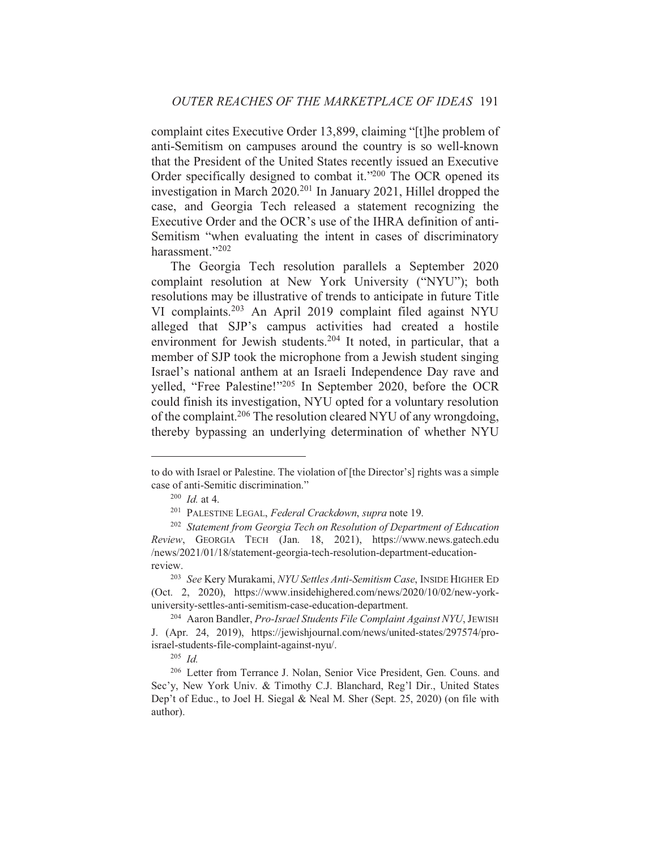complaint cites Executive Order 13,899, claiming "[t] he problem of anti-Semitism on campuses around the country is so well-known that the President of the United States recently issued an Executive Order specifically designed to combat it."200 The OCR opened its investigation in March 2020.<sup>201</sup> In January 2021, Hillel dropped the case, and Georgia Tech released a statement recognizing the Executive Order and the OCR's use of the IHRA definition of anti-Semitism "when evaluating the intent in cases of discriminatory harassment."202

The Georgia Tech resolution parallels a September 2020 complaint resolution at New York University ("NYU"); both resolutions may be illustrative of trends to anticipate in future Title VI complaints.<sup>203</sup> An April 2019 complaint filed against NYU alleged that SJP's campus activities had created a hostile environment for Jewish students.<sup>204</sup> It noted, in particular, that a member of SJP took the microphone from a Jewish student singing Israel's national anthem at an Israeli Independence Day rave and yelled, "Free Palestine!"<sup>205</sup> In September 2020, before the OCR could finish its investigation, NYU opted for a voluntary resolution of the complaint.<sup>206</sup> The resolution cleared NYU of any wrongdoing, thereby bypassing an underlying determination of whether NYU

to do with Israel or Palestine. The violation of [the Director's] rights was a simple case of anti-Semitic discrimination."

 $200$  *Id.* at 4.

<sup>&</sup>lt;sup>201</sup> PALESTINE LEGAL, Federal Crackdown, supra note 19.

<sup>&</sup>lt;sup>202</sup> Statement from Georgia Tech on Resolution of Department of Education Review, GEORGIA TECH (Jan. 18, 2021), https://www.news.gatech.edu /news/2021/01/18/statement-georgia-tech-resolution-department-educationreview.

<sup>&</sup>lt;sup>203</sup> See Kery Murakami, NYU Settles Anti-Semitism Case, INSIDE HIGHER ED (Oct. 2, 2020), https://www.insidehighered.com/news/2020/10/02/new-yorkuniversity-settles-anti-semitism-case-education-department.

<sup>&</sup>lt;sup>204</sup> Aaron Bandler, Pro-Israel Students File Complaint Against NYU, JEWISH J. (Apr. 24, 2019), https://jewishjournal.com/news/united-states/297574/proisrael-students-file-complaint-against-nyu/.

 $205$  *Id.* 

<sup>&</sup>lt;sup>206</sup> Letter from Terrance J. Nolan, Senior Vice President, Gen. Couns. and Sec'y, New York Univ. & Timothy C.J. Blanchard, Reg'l Dir., United States Dep't of Educ., to Joel H. Siegal & Neal M. Sher (Sept. 25, 2020) (on file with author).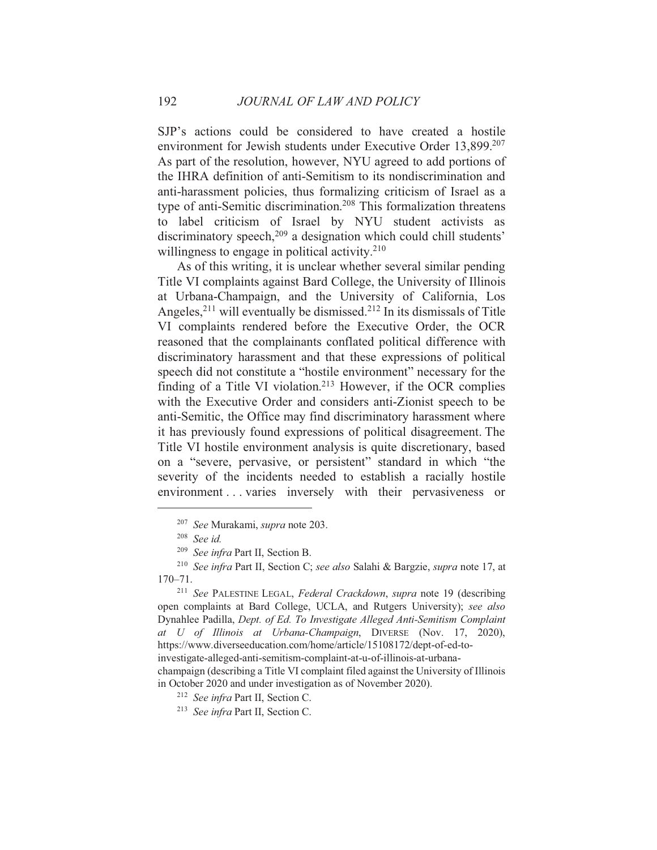SJP's actions could be considered to have created a hostile environment for Jewish students under Executive Order 13,899.<sup>207</sup> As part of the resolution, however, NYU agreed to add portions of the IHRA definition of anti-Semitism to its nondiscrimination and anti-harassment policies, thus formalizing criticism of Israel as a type of anti-Semitic discrimination.<sup>208</sup> This formalization threatens to label criticism of Israel by NYU student activists as discriminatory speech,<sup>209</sup> a designation which could chill students' willingness to engage in political activity.<sup>210</sup>

As of this writing, it is unclear whether several similar pending Title VI complaints against Bard College, the University of Illinois at Urbana-Champaign, and the University of California, Los Angeles,  $2^{11}$  will eventually be dismissed.<sup>212</sup> In its dismissals of Title VI complaints rendered before the Executive Order, the OCR reasoned that the complainants conflated political difference with discriminatory harassment and that these expressions of political speech did not constitute a "hostile environment" necessary for the finding of a Title VI violation.<sup>213</sup> However, if the OCR complies with the Executive Order and considers anti-Zionist speech to be anti-Semitic, the Office may find discriminatory harassment where it has previously found expressions of political disagreement. The Title VI hostile environment analysis is quite discretionary, based on a "severe, pervasive, or persistent" standard in which "the severity of the incidents needed to establish a racially hostile environment...varies inversely with their pervasiveness or

<sup>211</sup> See PALESTINE LEGAL, Federal Crackdown, supra note 19 (describing open complaints at Bard College, UCLA, and Rutgers University); see also Dynahlee Padilla, Dept. of Ed. To Investigate Alleged Anti-Semitism Complaint at U of Illinois at Urbana-Champaign, DIVERSE (Nov. 17, 2020), https://www.diverseeducation.com/home/article/15108172/dept-of-ed-toinvestigate-alleged-anti-semitism-complaint-at-u-of-illinois-at-urbanachampaign (describing a Title VI complaint filed against the University of Illinois in October 2020 and under investigation as of November 2020).

<sup>212</sup> See infra Part II, Section C.

192

<sup>&</sup>lt;sup>207</sup> See Murakami, *supra* note 203.

 $208$  See id.

<sup>&</sup>lt;sup>209</sup> See infra Part II, Section B.

<sup>&</sup>lt;sup>210</sup> See infra Part II, Section C; see also Salahi & Bargzie, supra note 17, at  $170 - 71.$ 

<sup>&</sup>lt;sup>213</sup> See infra Part II. Section C.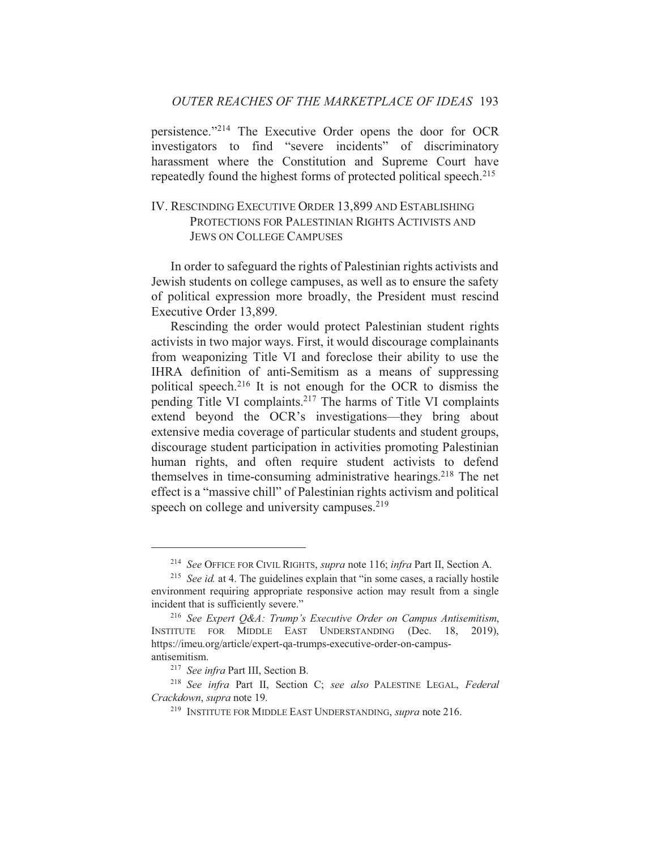## OUTER REACHES OF THE MARKETPLACE OF IDEAS 193

persistence."<sup>214</sup> The Executive Order opens the door for OCR investigators to find "severe incidents" of discriminatory harassment where the Constitution and Supreme Court have repeatedly found the highest forms of protected political speech.<sup>215</sup>

## IV. RESCINDING EXECUTIVE ORDER 13,899 AND ESTABLISHING PROTECTIONS FOR PALESTINIAN RIGHTS ACTIVISTS AND **JEWS ON COLLEGE CAMPUSES**

In order to safeguard the rights of Palestinian rights activists and Jewish students on college campuses, as well as to ensure the safety of political expression more broadly, the President must rescind Executive Order 13,899.

Rescinding the order would protect Palestinian student rights activists in two major ways. First, it would discourage complainants from weaponizing Title VI and foreclose their ability to use the IHRA definition of anti-Semitism as a means of suppressing political speech.<sup>216</sup> It is not enough for the OCR to dismiss the pending Title VI complaints.<sup>217</sup> The harms of Title VI complaints extend beyond the OCR's investigations—they bring about extensive media coverage of particular students and student groups, discourage student participation in activities promoting Palestinian human rights, and often require student activists to defend themselves in time-consuming administrative hearings.<sup>218</sup> The net effect is a "massive chill" of Palestinian rights activism and political speech on college and university campuses.<sup>219</sup>

<sup>&</sup>lt;sup>214</sup> See OFFICE FOR CIVIL RIGHTS, *supra* note 116; *infra* Part II, Section A.

<sup>&</sup>lt;sup>215</sup> See id. at 4. The guidelines explain that "in some cases, a racially hostile environment requiring appropriate responsive action may result from a single incident that is sufficiently severe."

<sup>&</sup>lt;sup>216</sup> See Expert O&A: Trump's Executive Order on Campus Antisemitism, INSTITUTE FOR MIDDLE EAST UNDERSTANDING (Dec. 18,  $2019$ ), https://imeu.org/article/expert-qa-trumps-executive-order-on-campusantisemitism.

<sup>&</sup>lt;sup>217</sup> See infra Part III, Section B.

<sup>&</sup>lt;sup>218</sup> See infra Part II, Section C; see also PALESTINE LEGAL, Federal Crackdown, supra note 19.

<sup>&</sup>lt;sup>219</sup> INSTITUTE FOR MIDDLE EAST UNDERSTANDING, *supra* note 216.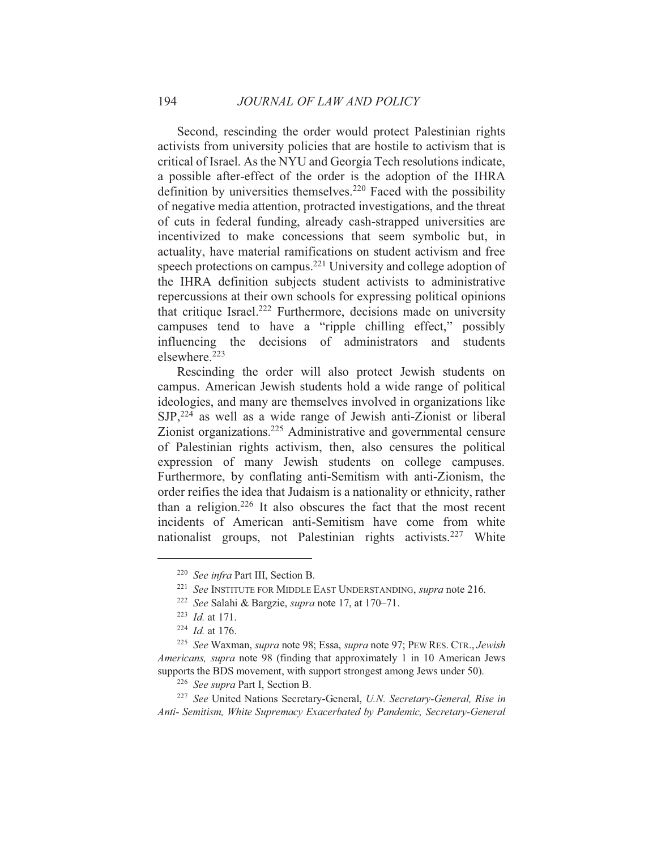Second, rescinding the order would protect Palestinian rights activists from university policies that are hostile to activism that is critical of Israel. As the NYU and Georgia Tech resolutions indicate, a possible after-effect of the order is the adoption of the IHRA definition by universities themselves.<sup>220</sup> Faced with the possibility of negative media attention, protracted investigations, and the threat of cuts in federal funding, already cash-strapped universities are incentivized to make concessions that seem symbolic but, in actuality, have material ramifications on student activism and free speech protections on campus.<sup>221</sup> University and college adoption of the IHRA definition subjects student activists to administrative repercussions at their own schools for expressing political opinions that critique Israel.<sup>222</sup> Furthermore, decisions made on university campuses tend to have a "ripple chilling effect," possibly influencing the decisions of administrators and students elsewhere.<sup>223</sup>

Rescinding the order will also protect Jewish students on campus. American Jewish students hold a wide range of political ideologies, and many are themselves involved in organizations like  $SJP<sub>1</sub><sup>224</sup>$  as well as a wide range of Jewish anti-Zionist or liberal Zionist organizations.<sup>225</sup> Administrative and governmental censure of Palestinian rights activism, then, also censures the political expression of many Jewish students on college campuses. Furthermore, by conflating anti-Semitism with anti-Zionism, the order reifies the idea that Judaism is a nationality or ethnicity, rather than a religion.<sup>226</sup> It also obscures the fact that the most recent incidents of American anti-Semitism have come from white nationalist groups, not Palestinian rights activists.<sup>227</sup> White

194

<sup>&</sup>lt;sup>220</sup> See infra Part III, Section B.

<sup>&</sup>lt;sup>221</sup> See INSTITUTE FOR MIDDLE EAST UNDERSTANDING, *supra* note 216.

<sup>&</sup>lt;sup>222</sup> See Salahi & Bargzie, *supra* note 17, at 170-71.

 $223$  *Id.* at 171.

 $224$  *Id.* at 176.

<sup>&</sup>lt;sup>225</sup> See Waxman, supra note 98; Essa, supra note 97; PEW RES. CTR., Jewish Americans, supra note 98 (finding that approximately 1 in 10 American Jews supports the BDS movement, with support strongest among Jews under 50).

<sup>&</sup>lt;sup>226</sup> See supra Part I, Section B.

<sup>&</sup>lt;sup>227</sup> See United Nations Secretary-General, U.N. Secretary-General, Rise in Anti- Semitism, White Supremacy Exacerbated by Pandemic, Secretary-General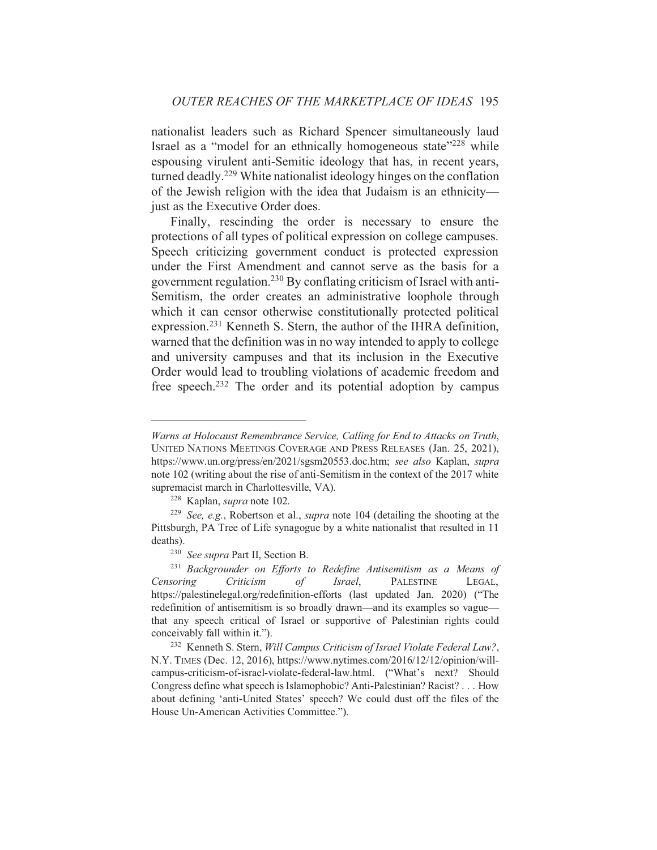nationalist leaders such as Richard Spencer simultaneously laud Israel as a "model for an ethnically homogeneous state"<sup>228</sup> while espousing virulent anti-Semitic ideology that has, in recent years, turned deadly.<sup>229</sup> White nationalist ideology hinges on the conflation of the Jewish religion with the idea that Judaism is an ethnicityjust as the Executive Order does.

Finally, rescinding the order is necessary to ensure the protections of all types of political expression on college campuses. Speech criticizing government conduct is protected expression under the First Amendment and cannot serve as the basis for a government regulation.<sup>230</sup> By conflating criticism of Israel with anti-Semitism, the order creates an administrative loophole through which it can censor otherwise constitutionally protected political expression.<sup>231</sup> Kenneth S. Stern, the author of the IHRA definition, warned that the definition was in no way intended to apply to college and university campuses and that its inclusion in the Executive Order would lead to troubling violations of academic freedom and free speech.<sup>232</sup> The order and its potential adoption by campus

Warns at Holocaust Remembrance Service, Calling for End to Attacks on Truth, UNITED NATIONS MEETINGS COVERAGE AND PRESS RELEASES (Jan. 25, 2021), https://www.un.org/press/en/2021/sgsm20553.doc.htm; see also Kaplan, supra note 102 (writing about the rise of anti-Semitism in the context of the 2017 white supremacist march in Charlottesville, VA).

<sup>&</sup>lt;sup>228</sup> Kaplan, *supra* note 102.

<sup>&</sup>lt;sup>229</sup> See, e.g., Robertson et al., *supra* note 104 (detailing the shooting at the Pittsburgh, PA Tree of Life synagogue by a white nationalist that resulted in 11 deaths).

<sup>&</sup>lt;sup>230</sup> See supra Part II, Section B.

<sup>&</sup>lt;sup>231</sup> Backgrounder on Efforts to Redefine Antisemitism as a Means of Criticism Israel, **PALESTINE** Censoring  $\sigma f$ LEGAL. https://palestinelegal.org/redefinition-efforts (last updated Jan. 2020) ("The redefinition of antisemitism is so broadly drawn—and its examples so vague that any speech critical of Israel or supportive of Palestinian rights could conceivably fall within it.").

<sup>&</sup>lt;sup>232</sup> Kenneth S. Stern, Will Campus Criticism of Israel Violate Federal Law?, N.Y. TIMES (Dec. 12, 2016), https://www.nytimes.com/2016/12/12/opinion/willcampus-criticism-of-israel-violate-federal-law.html. ("What's next? Should Congress define what speech is Islamophobic? Anti-Palestinian? Racist? . . . How about defining 'anti-United States' speech? We could dust off the files of the House Un-American Activities Committee.").